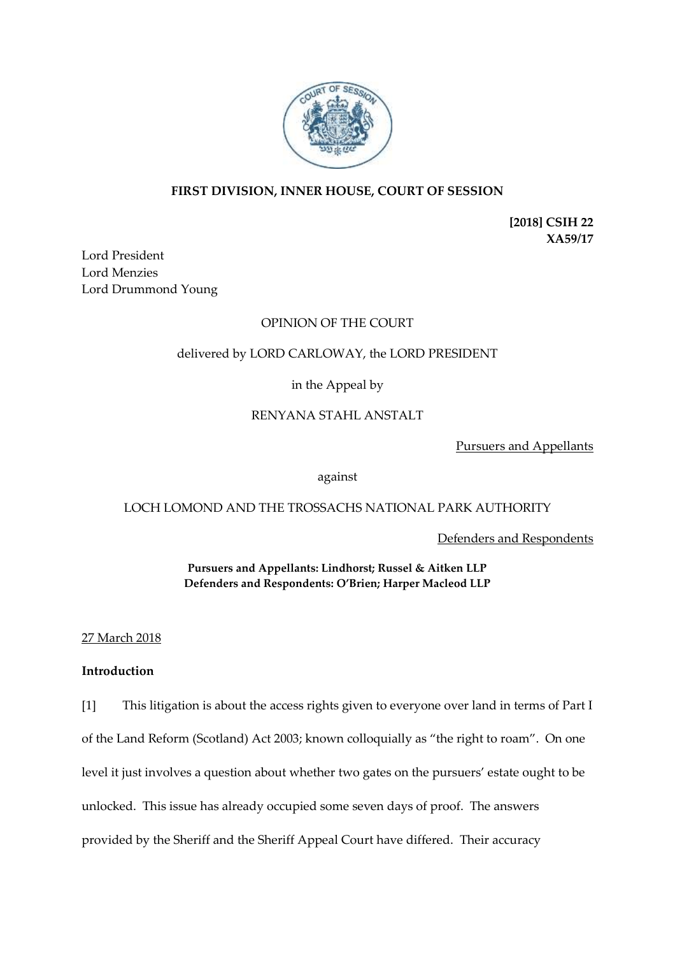

# **FIRST DIVISION, INNER HOUSE, COURT OF SESSION**

**[2018] CSIH 22 XA59/17**

Lord President Lord Menzies Lord Drummond Young

# OPINION OF THE COURT

# delivered by LORD CARLOWAY, the LORD PRESIDENT

# in the Appeal by

# RENYANA STAHL ANSTALT

Pursuers and Appellants

### against

## LOCH LOMOND AND THE TROSSACHS NATIONAL PARK AUTHORITY

Defenders and Respondents

**Pursuers and Appellants: Lindhorst; Russel & Aitken LLP Defenders and Respondents: O'Brien; Harper Macleod LLP**

## 27 March 2018

## **Introduction**

[1] This litigation is about the access rights given to everyone over land in terms of Part I of the Land Reform (Scotland) Act 2003; known colloquially as "the right to roam". On one level it just involves a question about whether two gates on the pursuers' estate ought to be unlocked. This issue has already occupied some seven days of proof. The answers provided by the Sheriff and the Sheriff Appeal Court have differed. Their accuracy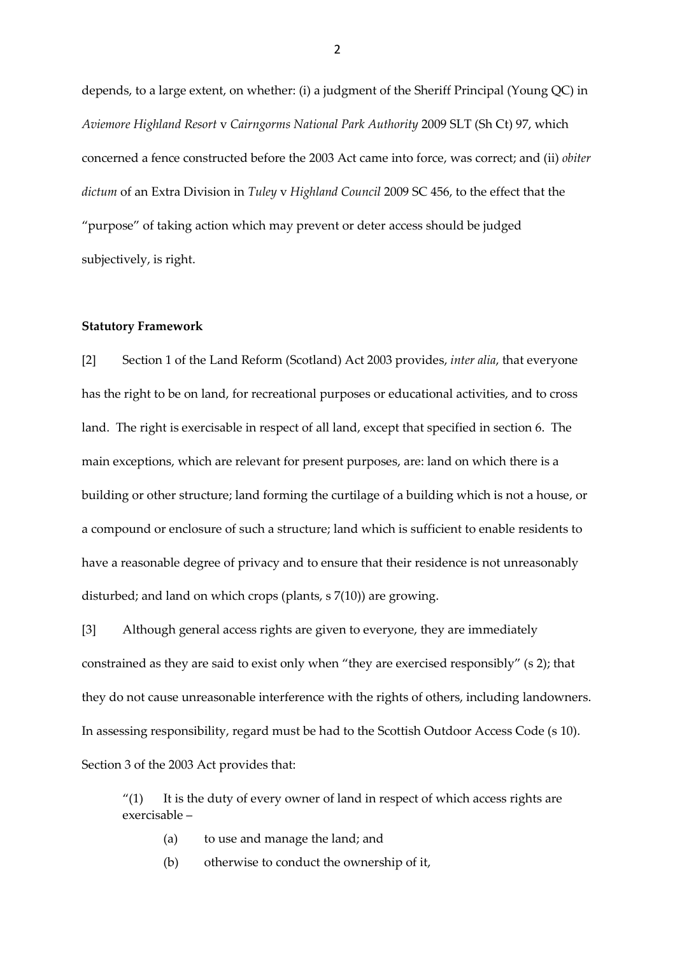depends, to a large extent, on whether: (i) a judgment of the Sheriff Principal (Young QC) in *Aviemore Highland Resort* v *Cairngorms National Park Authority* 2009 SLT (Sh Ct) 97, which concerned a fence constructed before the 2003 Act came into force, was correct; and (ii) *obiter dictum* of an Extra Division in *Tuley* v *Highland Council* 2009 SC 456, to the effect that the "purpose" of taking action which may prevent or deter access should be judged subjectively, is right.

#### **Statutory Framework**

[2] Section 1 of the Land Reform (Scotland) Act 2003 provides, *inter alia*, that everyone has the right to be on land, for recreational purposes or educational activities, and to cross land. The right is exercisable in respect of all land, except that specified in section 6. The main exceptions, which are relevant for present purposes, are: land on which there is a building or other structure; land forming the curtilage of a building which is not a house, or a compound or enclosure of such a structure; land which is sufficient to enable residents to have a reasonable degree of privacy and to ensure that their residence is not unreasonably disturbed; and land on which crops (plants, s 7(10)) are growing.

[3] Although general access rights are given to everyone, they are immediately constrained as they are said to exist only when "they are exercised responsibly" (s 2); that they do not cause unreasonable interference with the rights of others, including landowners. In assessing responsibility, regard must be had to the Scottish Outdoor Access Code (s 10). Section 3 of the 2003 Act provides that:

" $(1)$  It is the duty of every owner of land in respect of which access rights are exercisable –

- (a) to use and manage the land; and
- (b) otherwise to conduct the ownership of it,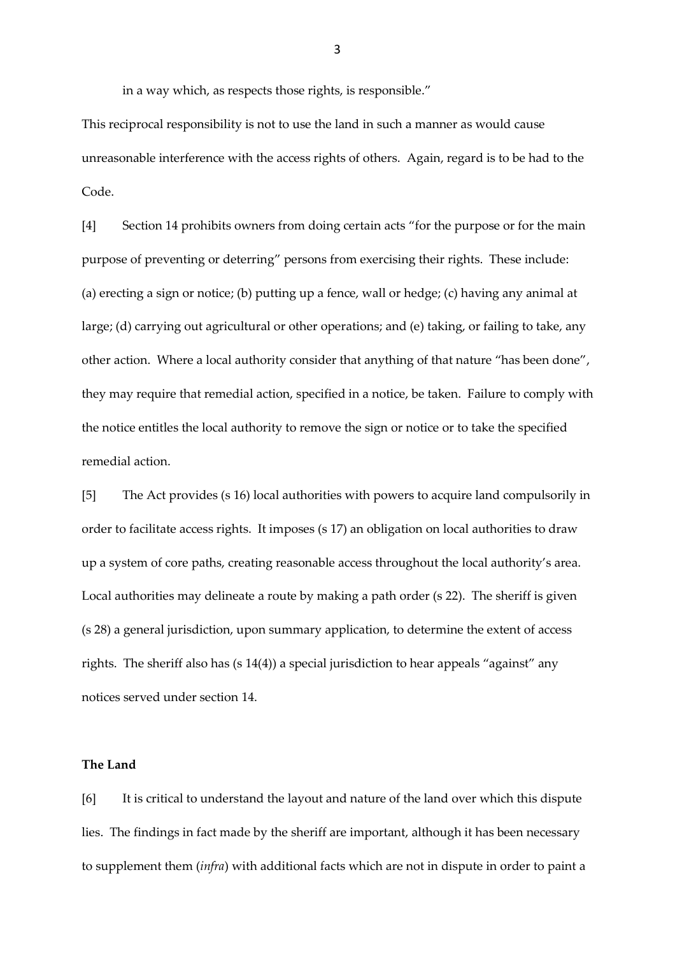in a way which, as respects those rights, is responsible."

This reciprocal responsibility is not to use the land in such a manner as would cause unreasonable interference with the access rights of others. Again, regard is to be had to the Code.

[4] Section 14 prohibits owners from doing certain acts "for the purpose or for the main purpose of preventing or deterring" persons from exercising their rights. These include: (a) erecting a sign or notice; (b) putting up a fence, wall or hedge; (c) having any animal at large; (d) carrying out agricultural or other operations; and (e) taking, or failing to take, any other action. Where a local authority consider that anything of that nature "has been done", they may require that remedial action, specified in a notice, be taken. Failure to comply with the notice entitles the local authority to remove the sign or notice or to take the specified remedial action.

[5] The Act provides (s 16) local authorities with powers to acquire land compulsorily in order to facilitate access rights. It imposes (s 17) an obligation on local authorities to draw up a system of core paths, creating reasonable access throughout the local authority's area. Local authorities may delineate a route by making a path order (s 22). The sheriff is given (s 28) a general jurisdiction, upon summary application, to determine the extent of access rights. The sheriff also has (s 14(4)) a special jurisdiction to hear appeals "against" any notices served under section 14.

### **The Land**

[6] It is critical to understand the layout and nature of the land over which this dispute lies. The findings in fact made by the sheriff are important, although it has been necessary to supplement them (*infra*) with additional facts which are not in dispute in order to paint a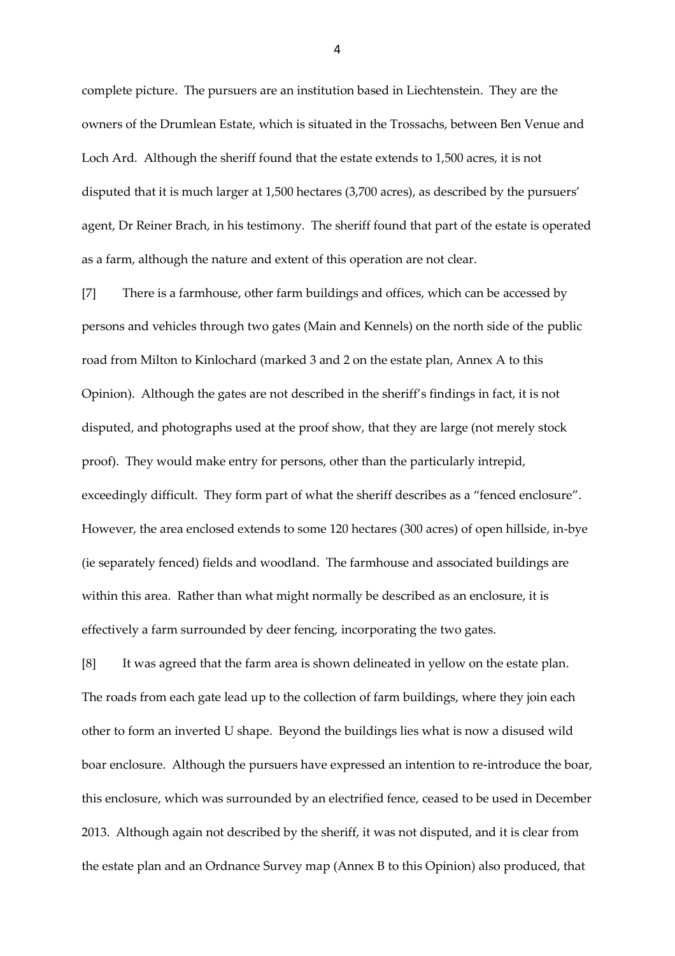complete picture. The pursuers are an institution based in Liechtenstein. They are the owners of the Drumlean Estate, which is situated in the Trossachs, between Ben Venue and Loch Ard. Although the sheriff found that the estate extends to 1,500 acres, it is not disputed that it is much larger at 1,500 hectares (3,700 acres), as described by the pursuers' agent, Dr Reiner Brach, in his testimony. The sheriff found that part of the estate is operated as a farm, although the nature and extent of this operation are not clear.

[7] There is a farmhouse, other farm buildings and offices, which can be accessed by persons and vehicles through two gates (Main and Kennels) on the north side of the public road from Milton to Kinlochard (marked 3 and 2 on the estate plan, Annex A to this Opinion). Although the gates are not described in the sheriff's findings in fact, it is not disputed, and photographs used at the proof show, that they are large (not merely stock proof). They would make entry for persons, other than the particularly intrepid, exceedingly difficult. They form part of what the sheriff describes as a "fenced enclosure". However, the area enclosed extends to some 120 hectares (300 acres) of open hillside, in-bye (ie separately fenced) fields and woodland. The farmhouse and associated buildings are within this area. Rather than what might normally be described as an enclosure, it is effectively a farm surrounded by deer fencing, incorporating the two gates.

[8] It was agreed that the farm area is shown delineated in yellow on the estate plan. The roads from each gate lead up to the collection of farm buildings, where they join each other to form an inverted U shape. Beyond the buildings lies what is now a disused wild boar enclosure. Although the pursuers have expressed an intention to re-introduce the boar, this enclosure, which was surrounded by an electrified fence, ceased to be used in December 2013. Although again not described by the sheriff, it was not disputed, and it is clear from the estate plan and an Ordnance Survey map (Annex B to this Opinion) also produced, that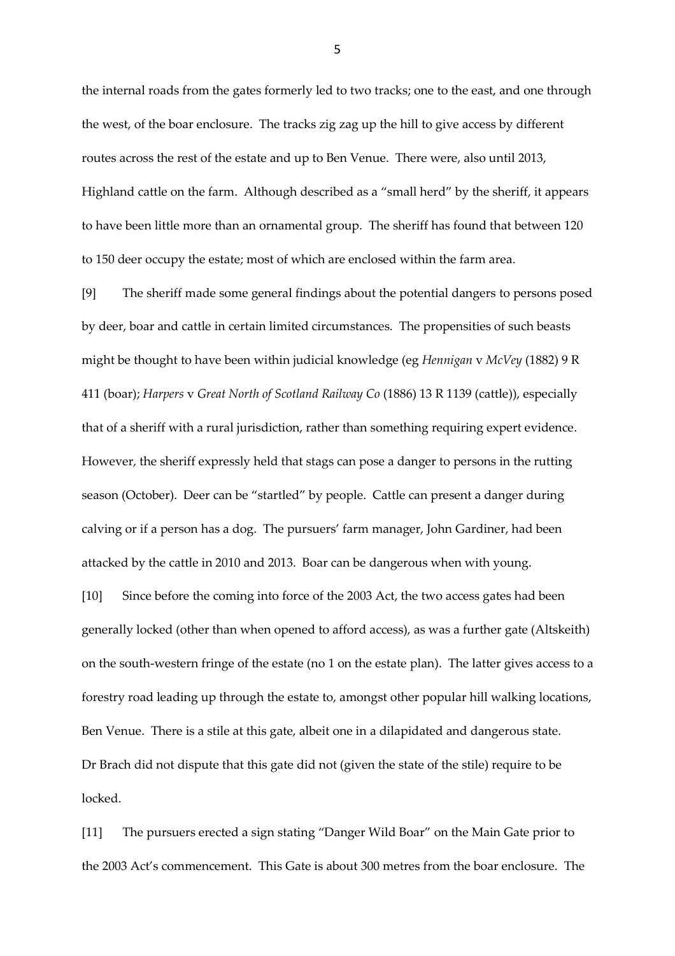the internal roads from the gates formerly led to two tracks; one to the east, and one through the west, of the boar enclosure. The tracks zig zag up the hill to give access by different routes across the rest of the estate and up to Ben Venue. There were, also until 2013, Highland cattle on the farm. Although described as a "small herd" by the sheriff, it appears to have been little more than an ornamental group. The sheriff has found that between 120 to 150 deer occupy the estate; most of which are enclosed within the farm area.

[9] The sheriff made some general findings about the potential dangers to persons posed by deer, boar and cattle in certain limited circumstances. The propensities of such beasts might be thought to have been within judicial knowledge (eg *Hennigan* v *McVey* (1882) 9 R 411 (boar); *Harpers* v *Great North of Scotland Railway Co* (1886) 13 R 1139 (cattle)), especially that of a sheriff with a rural jurisdiction, rather than something requiring expert evidence. However, the sheriff expressly held that stags can pose a danger to persons in the rutting season (October). Deer can be "startled" by people. Cattle can present a danger during calving or if a person has a dog. The pursuers' farm manager, John Gardiner, had been attacked by the cattle in 2010 and 2013. Boar can be dangerous when with young.

[10] Since before the coming into force of the 2003 Act, the two access gates had been generally locked (other than when opened to afford access), as was a further gate (Altskeith) on the south-western fringe of the estate (no 1 on the estate plan). The latter gives access to a forestry road leading up through the estate to, amongst other popular hill walking locations, Ben Venue. There is a stile at this gate, albeit one in a dilapidated and dangerous state. Dr Brach did not dispute that this gate did not (given the state of the stile) require to be locked.

[11] The pursuers erected a sign stating "Danger Wild Boar" on the Main Gate prior to the 2003 Act's commencement. This Gate is about 300 metres from the boar enclosure. The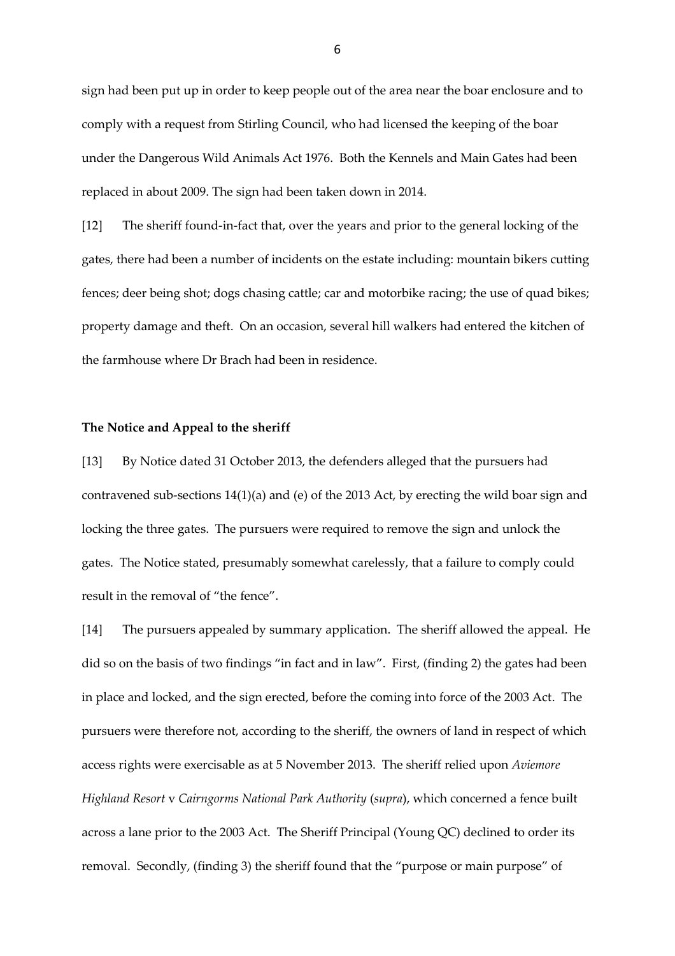sign had been put up in order to keep people out of the area near the boar enclosure and to comply with a request from Stirling Council, who had licensed the keeping of the boar under the Dangerous Wild Animals Act 1976. Both the Kennels and Main Gates had been replaced in about 2009. The sign had been taken down in 2014.

[12] The sheriff found-in-fact that, over the years and prior to the general locking of the gates, there had been a number of incidents on the estate including: mountain bikers cutting fences; deer being shot; dogs chasing cattle; car and motorbike racing; the use of quad bikes; property damage and theft. On an occasion, several hill walkers had entered the kitchen of the farmhouse where Dr Brach had been in residence.

### **The Notice and Appeal to the sheriff**

[13] By Notice dated 31 October 2013, the defenders alleged that the pursuers had contravened sub-sections 14(1)(a) and (e) of the 2013 Act, by erecting the wild boar sign and locking the three gates. The pursuers were required to remove the sign and unlock the gates. The Notice stated, presumably somewhat carelessly, that a failure to comply could result in the removal of "the fence".

[14] The pursuers appealed by summary application. The sheriff allowed the appeal. He did so on the basis of two findings "in fact and in law". First, (finding 2) the gates had been in place and locked, and the sign erected, before the coming into force of the 2003 Act. The pursuers were therefore not, according to the sheriff, the owners of land in respect of which access rights were exercisable as at 5 November 2013. The sheriff relied upon *Aviemore Highland Resort* v *Cairngorms National Park Authority* (*supra*), which concerned a fence built across a lane prior to the 2003 Act. The Sheriff Principal (Young QC) declined to order its removal. Secondly, (finding 3) the sheriff found that the "purpose or main purpose" of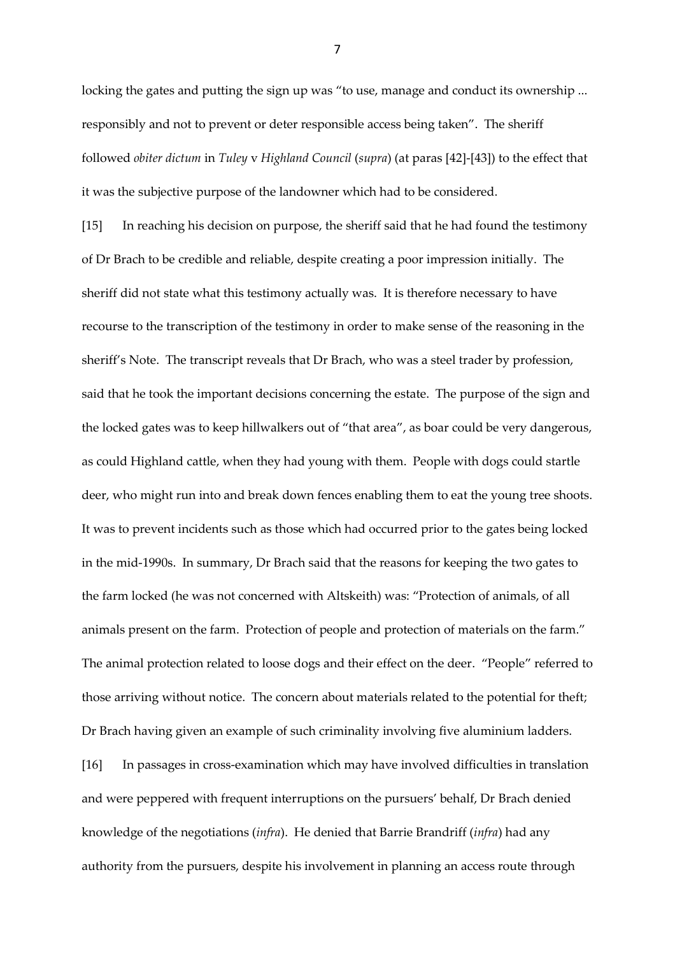locking the gates and putting the sign up was "to use, manage and conduct its ownership ... responsibly and not to prevent or deter responsible access being taken". The sheriff followed *obiter dictum* in *Tuley* v *Highland Council* (*supra*) (at paras [42]-[43]) to the effect that it was the subjective purpose of the landowner which had to be considered.

[15] In reaching his decision on purpose, the sheriff said that he had found the testimony of Dr Brach to be credible and reliable, despite creating a poor impression initially. The sheriff did not state what this testimony actually was. It is therefore necessary to have recourse to the transcription of the testimony in order to make sense of the reasoning in the sheriff's Note. The transcript reveals that Dr Brach, who was a steel trader by profession, said that he took the important decisions concerning the estate. The purpose of the sign and the locked gates was to keep hillwalkers out of "that area", as boar could be very dangerous, as could Highland cattle, when they had young with them. People with dogs could startle deer, who might run into and break down fences enabling them to eat the young tree shoots. It was to prevent incidents such as those which had occurred prior to the gates being locked in the mid-1990s. In summary, Dr Brach said that the reasons for keeping the two gates to the farm locked (he was not concerned with Altskeith) was: "Protection of animals, of all animals present on the farm. Protection of people and protection of materials on the farm." The animal protection related to loose dogs and their effect on the deer. "People" referred to those arriving without notice. The concern about materials related to the potential for theft; Dr Brach having given an example of such criminality involving five aluminium ladders. [16] In passages in cross-examination which may have involved difficulties in translation

and were peppered with frequent interruptions on the pursuers' behalf, Dr Brach denied knowledge of the negotiations (*infra*). He denied that Barrie Brandriff (*infra*) had any authority from the pursuers, despite his involvement in planning an access route through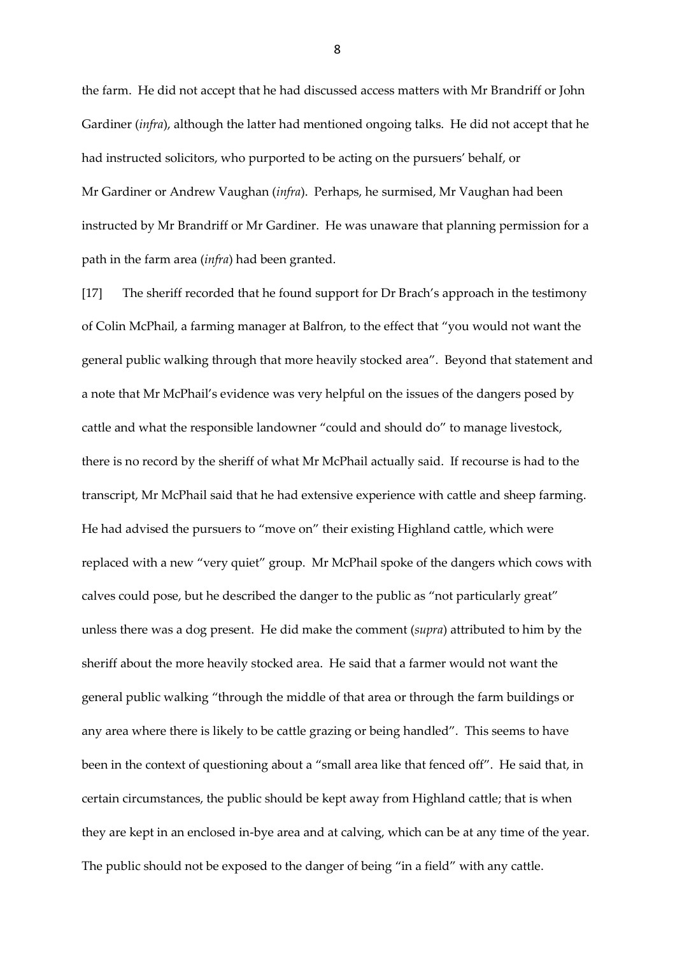the farm. He did not accept that he had discussed access matters with Mr Brandriff or John Gardiner (*infra*), although the latter had mentioned ongoing talks. He did not accept that he had instructed solicitors, who purported to be acting on the pursuers' behalf, or Mr Gardiner or Andrew Vaughan (*infra*). Perhaps, he surmised, Mr Vaughan had been instructed by Mr Brandriff or Mr Gardiner. He was unaware that planning permission for a path in the farm area (*infra*) had been granted.

[17] The sheriff recorded that he found support for Dr Brach's approach in the testimony of Colin McPhail, a farming manager at Balfron, to the effect that "you would not want the general public walking through that more heavily stocked area". Beyond that statement and a note that Mr McPhail's evidence was very helpful on the issues of the dangers posed by cattle and what the responsible landowner "could and should do" to manage livestock, there is no record by the sheriff of what Mr McPhail actually said. If recourse is had to the transcript, Mr McPhail said that he had extensive experience with cattle and sheep farming. He had advised the pursuers to "move on" their existing Highland cattle, which were replaced with a new "very quiet" group. Mr McPhail spoke of the dangers which cows with calves could pose, but he described the danger to the public as "not particularly great" unless there was a dog present. He did make the comment (*supra*) attributed to him by the sheriff about the more heavily stocked area. He said that a farmer would not want the general public walking "through the middle of that area or through the farm buildings or any area where there is likely to be cattle grazing or being handled". This seems to have been in the context of questioning about a "small area like that fenced off". He said that, in certain circumstances, the public should be kept away from Highland cattle; that is when they are kept in an enclosed in-bye area and at calving, which can be at any time of the year. The public should not be exposed to the danger of being "in a field" with any cattle.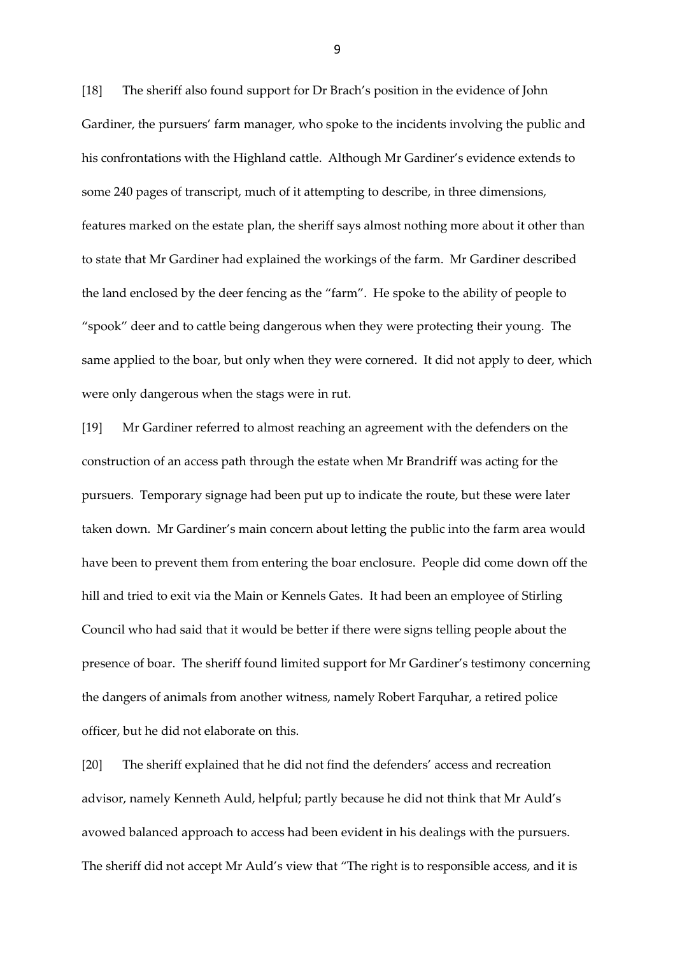[18] The sheriff also found support for Dr Brach's position in the evidence of John Gardiner, the pursuers' farm manager, who spoke to the incidents involving the public and his confrontations with the Highland cattle. Although Mr Gardiner's evidence extends to some 240 pages of transcript, much of it attempting to describe, in three dimensions, features marked on the estate plan, the sheriff says almost nothing more about it other than to state that Mr Gardiner had explained the workings of the farm. Mr Gardiner described the land enclosed by the deer fencing as the "farm". He spoke to the ability of people to "spook" deer and to cattle being dangerous when they were protecting their young. The same applied to the boar, but only when they were cornered. It did not apply to deer, which were only dangerous when the stags were in rut.

[19] Mr Gardiner referred to almost reaching an agreement with the defenders on the construction of an access path through the estate when Mr Brandriff was acting for the pursuers. Temporary signage had been put up to indicate the route, but these were later taken down. Mr Gardiner's main concern about letting the public into the farm area would have been to prevent them from entering the boar enclosure. People did come down off the hill and tried to exit via the Main or Kennels Gates. It had been an employee of Stirling Council who had said that it would be better if there were signs telling people about the presence of boar. The sheriff found limited support for Mr Gardiner's testimony concerning the dangers of animals from another witness, namely Robert Farquhar, a retired police officer, but he did not elaborate on this.

[20] The sheriff explained that he did not find the defenders' access and recreation advisor, namely Kenneth Auld, helpful; partly because he did not think that Mr Auld's avowed balanced approach to access had been evident in his dealings with the pursuers. The sheriff did not accept Mr Auld's view that "The right is to responsible access, and it is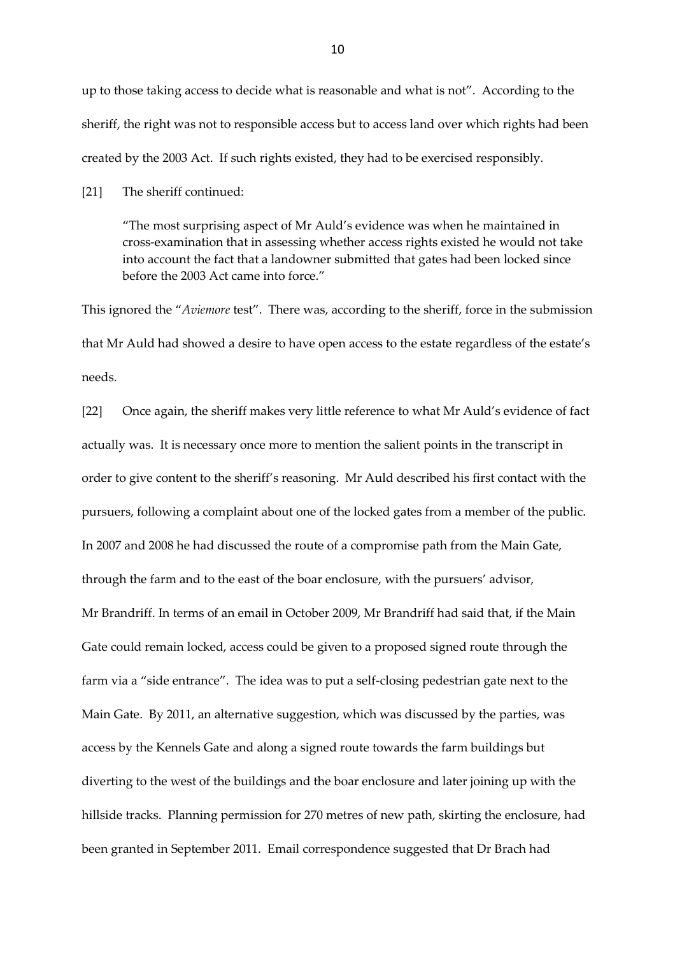up to those taking access to decide what is reasonable and what is not". According to the sheriff, the right was not to responsible access but to access land over which rights had been created by the 2003 Act. If such rights existed, they had to be exercised responsibly.

[21] The sheriff continued:

"The most surprising aspect of Mr Auld's evidence was when he maintained in cross-examination that in assessing whether access rights existed he would not take into account the fact that a landowner submitted that gates had been locked since before the 2003 Act came into force."

This ignored the "*Aviemore* test". There was, according to the sheriff, force in the submission that Mr Auld had showed a desire to have open access to the estate regardless of the estate's needs.

[22] Once again, the sheriff makes very little reference to what Mr Auld's evidence of fact actually was. It is necessary once more to mention the salient points in the transcript in order to give content to the sheriff's reasoning. Mr Auld described his first contact with the pursuers, following a complaint about one of the locked gates from a member of the public. In 2007 and 2008 he had discussed the route of a compromise path from the Main Gate, through the farm and to the east of the boar enclosure, with the pursuers' advisor, Mr Brandriff. In terms of an email in October 2009, Mr Brandriff had said that, if the Main Gate could remain locked, access could be given to a proposed signed route through the farm via a "side entrance". The idea was to put a self-closing pedestrian gate next to the Main Gate. By 2011, an alternative suggestion, which was discussed by the parties, was access by the Kennels Gate and along a signed route towards the farm buildings but diverting to the west of the buildings and the boar enclosure and later joining up with the hillside tracks. Planning permission for 270 metres of new path, skirting the enclosure, had been granted in September 2011. Email correspondence suggested that Dr Brach had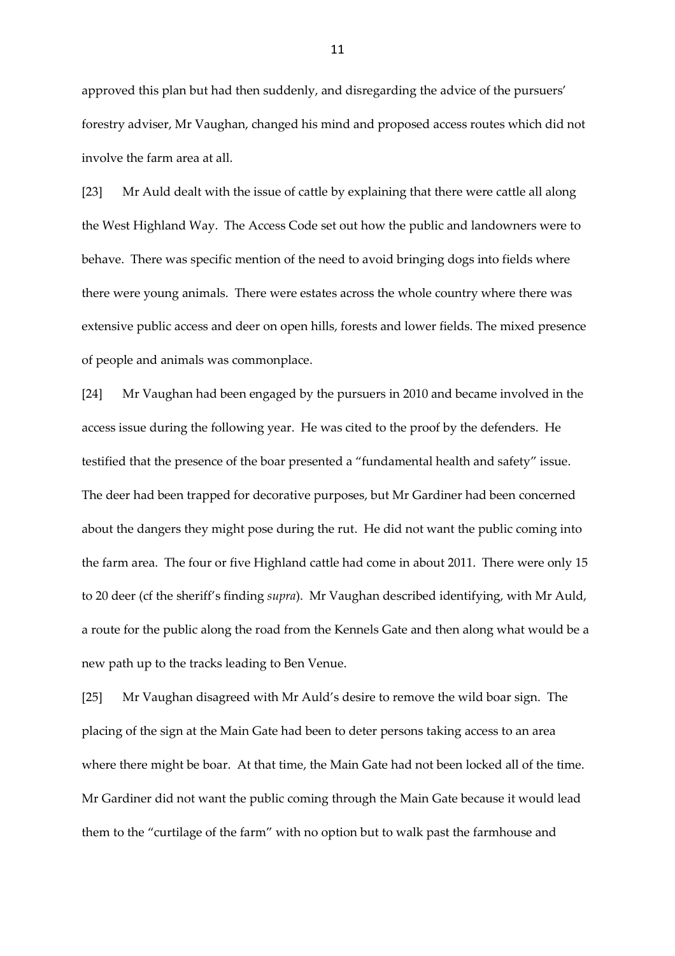approved this plan but had then suddenly, and disregarding the advice of the pursuers' forestry adviser, Mr Vaughan, changed his mind and proposed access routes which did not involve the farm area at all.

[23] Mr Auld dealt with the issue of cattle by explaining that there were cattle all along the West Highland Way. The Access Code set out how the public and landowners were to behave. There was specific mention of the need to avoid bringing dogs into fields where there were young animals. There were estates across the whole country where there was extensive public access and deer on open hills, forests and lower fields. The mixed presence of people and animals was commonplace.

[24] Mr Vaughan had been engaged by the pursuers in 2010 and became involved in the access issue during the following year. He was cited to the proof by the defenders. He testified that the presence of the boar presented a "fundamental health and safety" issue. The deer had been trapped for decorative purposes, but Mr Gardiner had been concerned about the dangers they might pose during the rut. He did not want the public coming into the farm area. The four or five Highland cattle had come in about 2011. There were only 15 to 20 deer (cf the sheriff's finding *supra*). Mr Vaughan described identifying, with Mr Auld, a route for the public along the road from the Kennels Gate and then along what would be a new path up to the tracks leading to Ben Venue.

[25] Mr Vaughan disagreed with Mr Auld's desire to remove the wild boar sign. The placing of the sign at the Main Gate had been to deter persons taking access to an area where there might be boar. At that time, the Main Gate had not been locked all of the time. Mr Gardiner did not want the public coming through the Main Gate because it would lead them to the "curtilage of the farm" with no option but to walk past the farmhouse and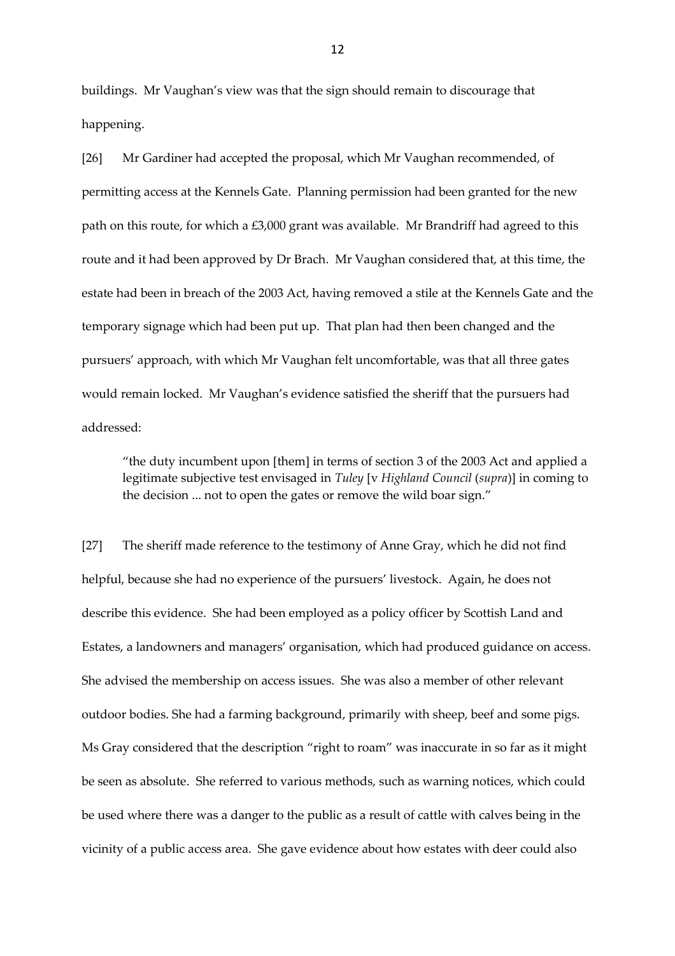buildings. Mr Vaughan's view was that the sign should remain to discourage that happening.

[26] Mr Gardiner had accepted the proposal, which Mr Vaughan recommended, of permitting access at the Kennels Gate. Planning permission had been granted for the new path on this route, for which a £3,000 grant was available. Mr Brandriff had agreed to this route and it had been approved by Dr Brach. Mr Vaughan considered that, at this time, the estate had been in breach of the 2003 Act, having removed a stile at the Kennels Gate and the temporary signage which had been put up. That plan had then been changed and the pursuers' approach, with which Mr Vaughan felt uncomfortable, was that all three gates would remain locked. Mr Vaughan's evidence satisfied the sheriff that the pursuers had addressed:

"the duty incumbent upon [them] in terms of section 3 of the 2003 Act and applied a legitimate subjective test envisaged in *Tuley* [v *Highland Council* (*supra*)] in coming to the decision ... not to open the gates or remove the wild boar sign."

[27] The sheriff made reference to the testimony of Anne Gray, which he did not find helpful, because she had no experience of the pursuers' livestock. Again, he does not describe this evidence. She had been employed as a policy officer by Scottish Land and Estates, a landowners and managers' organisation, which had produced guidance on access. She advised the membership on access issues. She was also a member of other relevant outdoor bodies. She had a farming background, primarily with sheep, beef and some pigs. Ms Gray considered that the description "right to roam" was inaccurate in so far as it might be seen as absolute. She referred to various methods, such as warning notices, which could be used where there was a danger to the public as a result of cattle with calves being in the vicinity of a public access area. She gave evidence about how estates with deer could also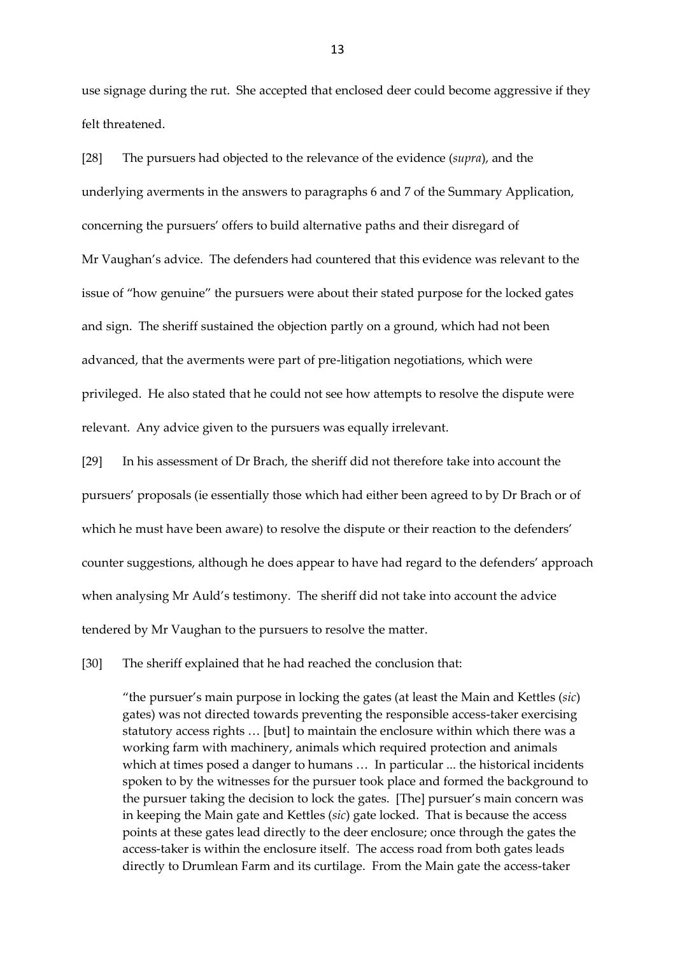use signage during the rut. She accepted that enclosed deer could become aggressive if they felt threatened.

[28] The pursuers had objected to the relevance of the evidence (*supra*), and the underlying averments in the answers to paragraphs 6 and 7 of the Summary Application, concerning the pursuers' offers to build alternative paths and their disregard of Mr Vaughan's advice. The defenders had countered that this evidence was relevant to the issue of "how genuine" the pursuers were about their stated purpose for the locked gates and sign. The sheriff sustained the objection partly on a ground, which had not been advanced, that the averments were part of pre-litigation negotiations, which were privileged. He also stated that he could not see how attempts to resolve the dispute were relevant. Any advice given to the pursuers was equally irrelevant.

[29] In his assessment of Dr Brach, the sheriff did not therefore take into account the pursuers' proposals (ie essentially those which had either been agreed to by Dr Brach or of which he must have been aware) to resolve the dispute or their reaction to the defenders' counter suggestions, although he does appear to have had regard to the defenders' approach when analysing Mr Auld's testimony. The sheriff did not take into account the advice tendered by Mr Vaughan to the pursuers to resolve the matter.

[30] The sheriff explained that he had reached the conclusion that:

"the pursuer's main purpose in locking the gates (at least the Main and Kettles (*sic*) gates) was not directed towards preventing the responsible access-taker exercising statutory access rights … [but] to maintain the enclosure within which there was a working farm with machinery, animals which required protection and animals which at times posed a danger to humans … In particular ... the historical incidents spoken to by the witnesses for the pursuer took place and formed the background to the pursuer taking the decision to lock the gates. [The] pursuer's main concern was in keeping the Main gate and Kettles (*sic*) gate locked. That is because the access points at these gates lead directly to the deer enclosure; once through the gates the access-taker is within the enclosure itself. The access road from both gates leads directly to Drumlean Farm and its curtilage. From the Main gate the access-taker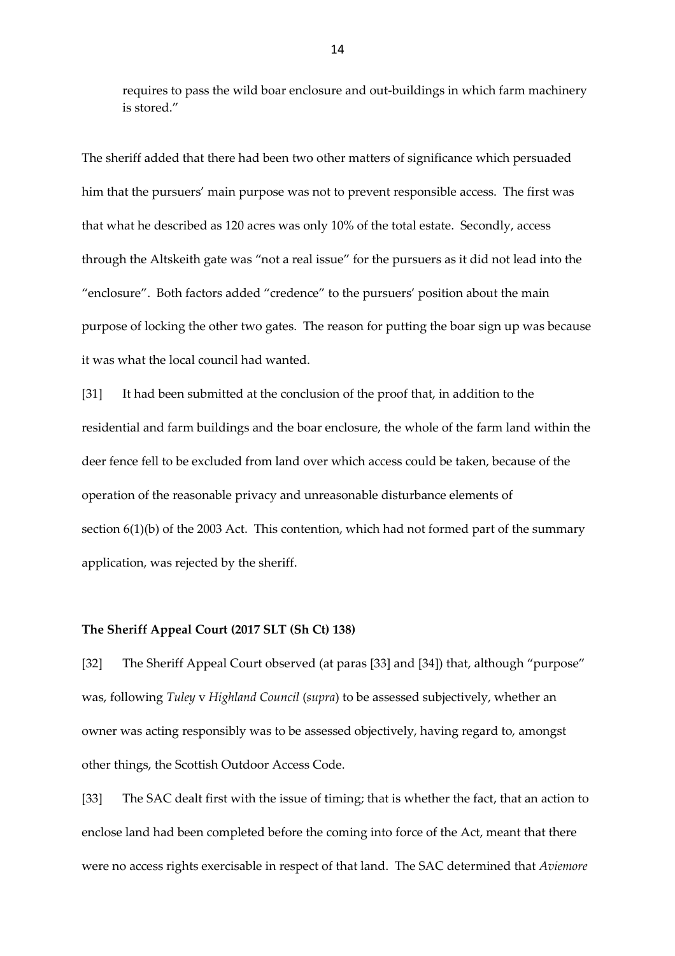requires to pass the wild boar enclosure and out-buildings in which farm machinery is stored."

The sheriff added that there had been two other matters of significance which persuaded him that the pursuers' main purpose was not to prevent responsible access. The first was that what he described as 120 acres was only 10% of the total estate. Secondly, access through the Altskeith gate was "not a real issue" for the pursuers as it did not lead into the "enclosure". Both factors added "credence" to the pursuers' position about the main purpose of locking the other two gates. The reason for putting the boar sign up was because it was what the local council had wanted.

[31] It had been submitted at the conclusion of the proof that, in addition to the residential and farm buildings and the boar enclosure, the whole of the farm land within the deer fence fell to be excluded from land over which access could be taken, because of the operation of the reasonable privacy and unreasonable disturbance elements of section 6(1)(b) of the 2003 Act. This contention, which had not formed part of the summary application, was rejected by the sheriff.

#### **The Sheriff Appeal Court (2017 SLT (Sh Ct) 138)**

[32] The Sheriff Appeal Court observed (at paras [33] and [34]) that, although "purpose" was, following *Tuley* v *Highland Council* (*supra*) to be assessed subjectively, whether an owner was acting responsibly was to be assessed objectively, having regard to, amongst other things, the Scottish Outdoor Access Code.

[33] The SAC dealt first with the issue of timing; that is whether the fact, that an action to enclose land had been completed before the coming into force of the Act, meant that there were no access rights exercisable in respect of that land. The SAC determined that *Aviemore*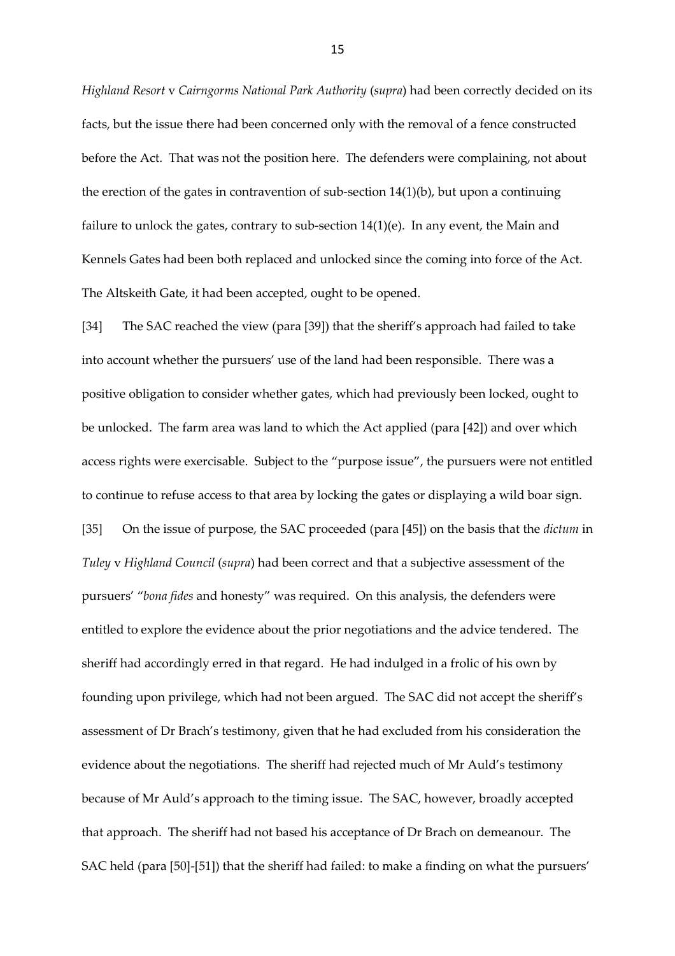*Highland Resort* v *Cairngorms National Park Authority* (*supra*) had been correctly decided on its facts, but the issue there had been concerned only with the removal of a fence constructed before the Act. That was not the position here. The defenders were complaining, not about the erection of the gates in contravention of sub-section 14(1)(b), but upon a continuing failure to unlock the gates, contrary to sub-section  $14(1)(e)$ . In any event, the Main and Kennels Gates had been both replaced and unlocked since the coming into force of the Act. The Altskeith Gate, it had been accepted, ought to be opened.

[34] The SAC reached the view (para [39]) that the sheriff's approach had failed to take into account whether the pursuers' use of the land had been responsible. There was a positive obligation to consider whether gates, which had previously been locked, ought to be unlocked. The farm area was land to which the Act applied (para [42]) and over which access rights were exercisable. Subject to the "purpose issue", the pursuers were not entitled to continue to refuse access to that area by locking the gates or displaying a wild boar sign. [35] On the issue of purpose, the SAC proceeded (para [45]) on the basis that the *dictum* in *Tuley* v *Highland Council* (*supra*) had been correct and that a subjective assessment of the pursuers' "*bona fides* and honesty" was required. On this analysis, the defenders were entitled to explore the evidence about the prior negotiations and the advice tendered. The sheriff had accordingly erred in that regard. He had indulged in a frolic of his own by founding upon privilege, which had not been argued. The SAC did not accept the sheriff's assessment of Dr Brach's testimony, given that he had excluded from his consideration the evidence about the negotiations. The sheriff had rejected much of Mr Auld's testimony because of Mr Auld's approach to the timing issue. The SAC, however, broadly accepted that approach. The sheriff had not based his acceptance of Dr Brach on demeanour. The SAC held (para [50]-[51]) that the sheriff had failed: to make a finding on what the pursuers'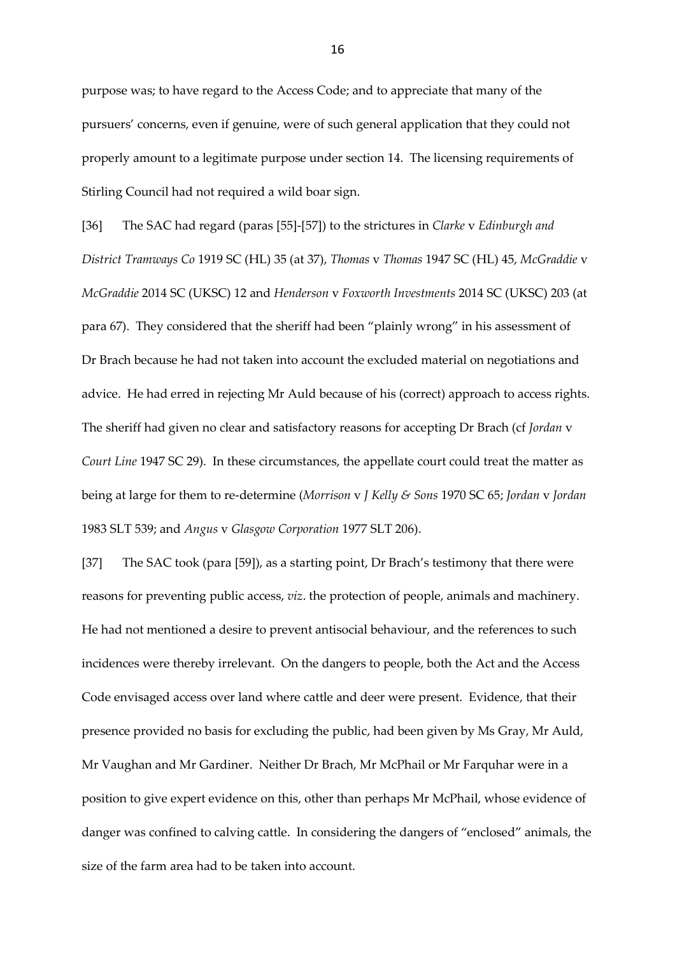purpose was; to have regard to the Access Code; and to appreciate that many of the pursuers' concerns, even if genuine, were of such general application that they could not properly amount to a legitimate purpose under section 14. The licensing requirements of Stirling Council had not required a wild boar sign.

[36] The SAC had regard (paras [55]-[57]) to the strictures in *Clarke* v *Edinburgh and District Tramways Co* 1919 SC (HL) 35 (at 37), *Thomas* v *Thomas* 1947 SC (HL) 45, *McGraddie* v *McGraddie* 2014 SC (UKSC) 12 and *Henderson* v *Foxworth Investments* 2014 SC (UKSC) 203 (at para 67). They considered that the sheriff had been "plainly wrong" in his assessment of Dr Brach because he had not taken into account the excluded material on negotiations and advice. He had erred in rejecting Mr Auld because of his (correct) approach to access rights. The sheriff had given no clear and satisfactory reasons for accepting Dr Brach (cf *Jordan* v *Court Line* 1947 SC 29). In these circumstances, the appellate court could treat the matter as being at large for them to re-determine (*Morrison* v *J Kelly & Sons* 1970 SC 65; *Jordan* v *Jordan* 1983 SLT 539; and *Angus* v *Glasgow Corporation* 1977 SLT 206).

[37] The SAC took (para [59]), as a starting point, Dr Brach's testimony that there were reasons for preventing public access, *viz*. the protection of people, animals and machinery. He had not mentioned a desire to prevent antisocial behaviour, and the references to such incidences were thereby irrelevant. On the dangers to people, both the Act and the Access Code envisaged access over land where cattle and deer were present. Evidence, that their presence provided no basis for excluding the public, had been given by Ms Gray, Mr Auld, Mr Vaughan and Mr Gardiner. Neither Dr Brach, Mr McPhail or Mr Farquhar were in a position to give expert evidence on this, other than perhaps Mr McPhail, whose evidence of danger was confined to calving cattle. In considering the dangers of "enclosed" animals, the size of the farm area had to be taken into account.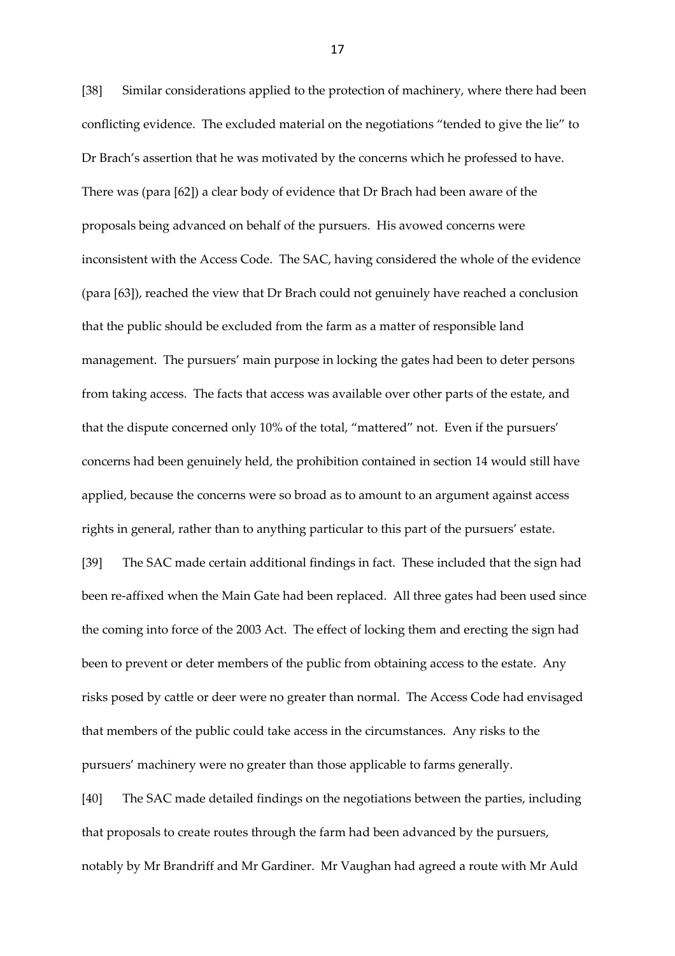[38] Similar considerations applied to the protection of machinery, where there had been conflicting evidence. The excluded material on the negotiations "tended to give the lie" to Dr Brach's assertion that he was motivated by the concerns which he professed to have. There was (para [62]) a clear body of evidence that Dr Brach had been aware of the proposals being advanced on behalf of the pursuers. His avowed concerns were inconsistent with the Access Code. The SAC, having considered the whole of the evidence (para [63]), reached the view that Dr Brach could not genuinely have reached a conclusion that the public should be excluded from the farm as a matter of responsible land management. The pursuers' main purpose in locking the gates had been to deter persons from taking access. The facts that access was available over other parts of the estate, and that the dispute concerned only 10% of the total, "mattered" not. Even if the pursuers' concerns had been genuinely held, the prohibition contained in section 14 would still have applied, because the concerns were so broad as to amount to an argument against access rights in general, rather than to anything particular to this part of the pursuers' estate.

[39] The SAC made certain additional findings in fact. These included that the sign had been re-affixed when the Main Gate had been replaced. All three gates had been used since the coming into force of the 2003 Act. The effect of locking them and erecting the sign had been to prevent or deter members of the public from obtaining access to the estate. Any risks posed by cattle or deer were no greater than normal. The Access Code had envisaged that members of the public could take access in the circumstances. Any risks to the pursuers' machinery were no greater than those applicable to farms generally.

[40] The SAC made detailed findings on the negotiations between the parties, including that proposals to create routes through the farm had been advanced by the pursuers, notably by Mr Brandriff and Mr Gardiner. Mr Vaughan had agreed a route with Mr Auld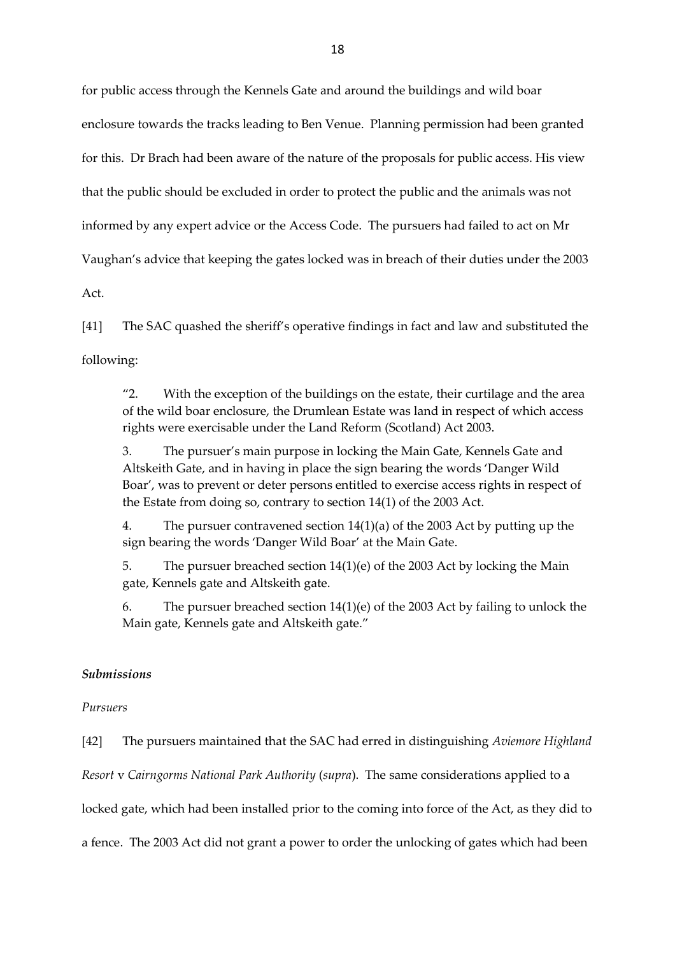for public access through the Kennels Gate and around the buildings and wild boar enclosure towards the tracks leading to Ben Venue. Planning permission had been granted for this. Dr Brach had been aware of the nature of the proposals for public access. His view that the public should be excluded in order to protect the public and the animals was not informed by any expert advice or the Access Code. The pursuers had failed to act on Mr Vaughan's advice that keeping the gates locked was in breach of their duties under the 2003

Act.

[41] The SAC quashed the sheriff's operative findings in fact and law and substituted the following:

"2. With the exception of the buildings on the estate, their curtilage and the area of the wild boar enclosure, the Drumlean Estate was land in respect of which access rights were exercisable under the Land Reform (Scotland) Act 2003.

3. The pursuer's main purpose in locking the Main Gate, Kennels Gate and Altskeith Gate, and in having in place the sign bearing the words 'Danger Wild Boar', was to prevent or deter persons entitled to exercise access rights in respect of the Estate from doing so, contrary to section 14(1) of the 2003 Act.

4. The pursuer contravened section 14(1)(a) of the 2003 Act by putting up the sign bearing the words 'Danger Wild Boar' at the Main Gate.

5. The pursuer breached section 14(1)(e) of the 2003 Act by locking the Main gate, Kennels gate and Altskeith gate.

6. The pursuer breached section 14(1)(e) of the 2003 Act by failing to unlock the Main gate, Kennels gate and Altskeith gate."

## *Submissions*

### *Pursuers*

[42] The pursuers maintained that the SAC had erred in distinguishing *Aviemore Highland Resort* v *Cairngorms National Park Authority* (*supra*). The same considerations applied to a locked gate, which had been installed prior to the coming into force of the Act, as they did to a fence. The 2003 Act did not grant a power to order the unlocking of gates which had been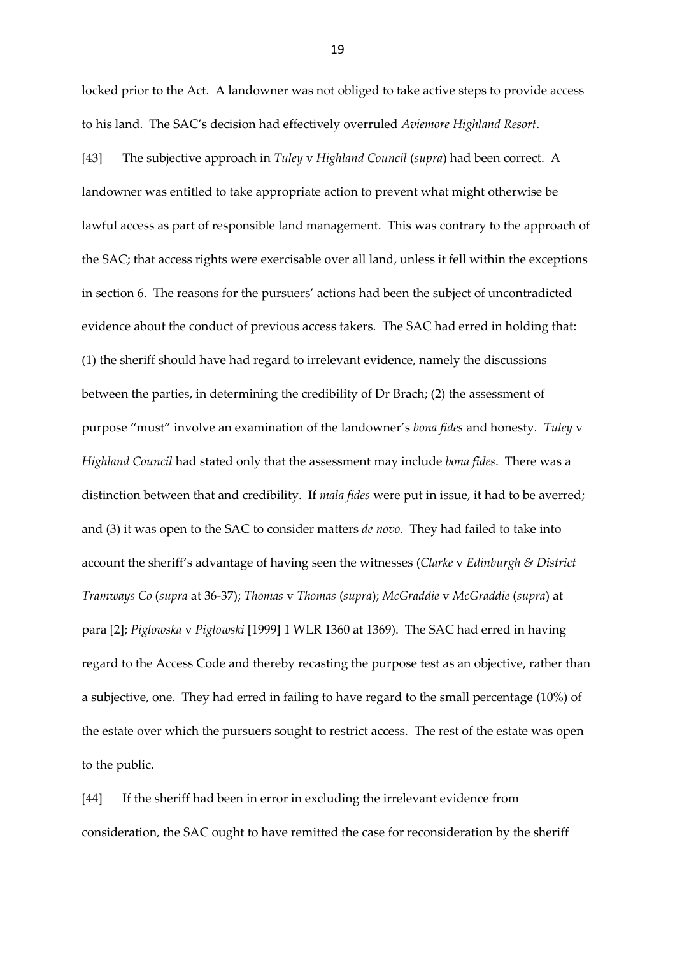locked prior to the Act. A landowner was not obliged to take active steps to provide access to his land. The SAC's decision had effectively overruled *Aviemore Highland Resort*.

[43] The subjective approach in *Tuley* v *Highland Council* (*supra*) had been correct. A landowner was entitled to take appropriate action to prevent what might otherwise be lawful access as part of responsible land management. This was contrary to the approach of the SAC; that access rights were exercisable over all land, unless it fell within the exceptions in section 6. The reasons for the pursuers' actions had been the subject of uncontradicted evidence about the conduct of previous access takers. The SAC had erred in holding that: (1) the sheriff should have had regard to irrelevant evidence, namely the discussions between the parties, in determining the credibility of Dr Brach; (2) the assessment of purpose "must" involve an examination of the landowner's *bona fides* and honesty. *Tuley* v *Highland Council* had stated only that the assessment may include *bona fides*. There was a distinction between that and credibility. If *mala fides* were put in issue, it had to be averred; and (3) it was open to the SAC to consider matters *de novo*. They had failed to take into account the sheriff's advantage of having seen the witnesses (*Clarke* v *Edinburgh & District Tramways Co* (*supra* at 36-37); *Thomas* v *Thomas* (*supra*); *McGraddie* v *McGraddie* (*supra*) at para [2]; *Piglowska* v *Piglowski* [1999] 1 WLR 1360 at 1369). The SAC had erred in having regard to the Access Code and thereby recasting the purpose test as an objective, rather than a subjective, one. They had erred in failing to have regard to the small percentage (10%) of the estate over which the pursuers sought to restrict access. The rest of the estate was open to the public.

[44] If the sheriff had been in error in excluding the irrelevant evidence from consideration, the SAC ought to have remitted the case for reconsideration by the sheriff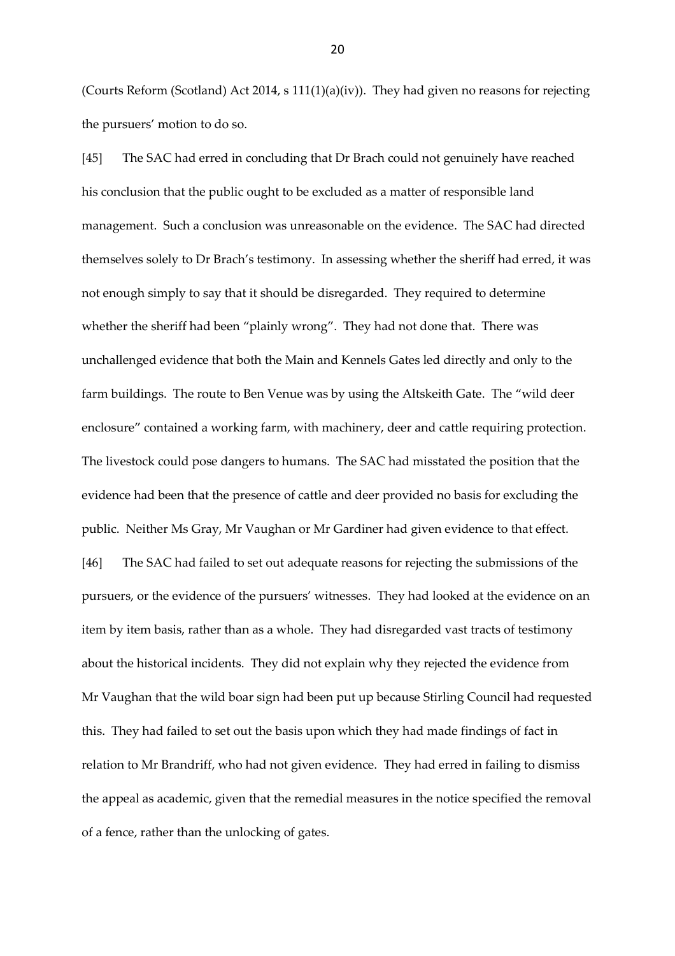(Courts Reform (Scotland) Act 2014, s 111(1)(a)(iv)). They had given no reasons for rejecting the pursuers' motion to do so.

[45] The SAC had erred in concluding that Dr Brach could not genuinely have reached his conclusion that the public ought to be excluded as a matter of responsible land management. Such a conclusion was unreasonable on the evidence. The SAC had directed themselves solely to Dr Brach's testimony. In assessing whether the sheriff had erred, it was not enough simply to say that it should be disregarded. They required to determine whether the sheriff had been "plainly wrong". They had not done that. There was unchallenged evidence that both the Main and Kennels Gates led directly and only to the farm buildings. The route to Ben Venue was by using the Altskeith Gate. The "wild deer enclosure" contained a working farm, with machinery, deer and cattle requiring protection. The livestock could pose dangers to humans. The SAC had misstated the position that the evidence had been that the presence of cattle and deer provided no basis for excluding the public. Neither Ms Gray, Mr Vaughan or Mr Gardiner had given evidence to that effect. [46] The SAC had failed to set out adequate reasons for rejecting the submissions of the pursuers, or the evidence of the pursuers' witnesses. They had looked at the evidence on an item by item basis, rather than as a whole. They had disregarded vast tracts of testimony about the historical incidents. They did not explain why they rejected the evidence from Mr Vaughan that the wild boar sign had been put up because Stirling Council had requested this. They had failed to set out the basis upon which they had made findings of fact in relation to Mr Brandriff, who had not given evidence. They had erred in failing to dismiss the appeal as academic, given that the remedial measures in the notice specified the removal of a fence, rather than the unlocking of gates.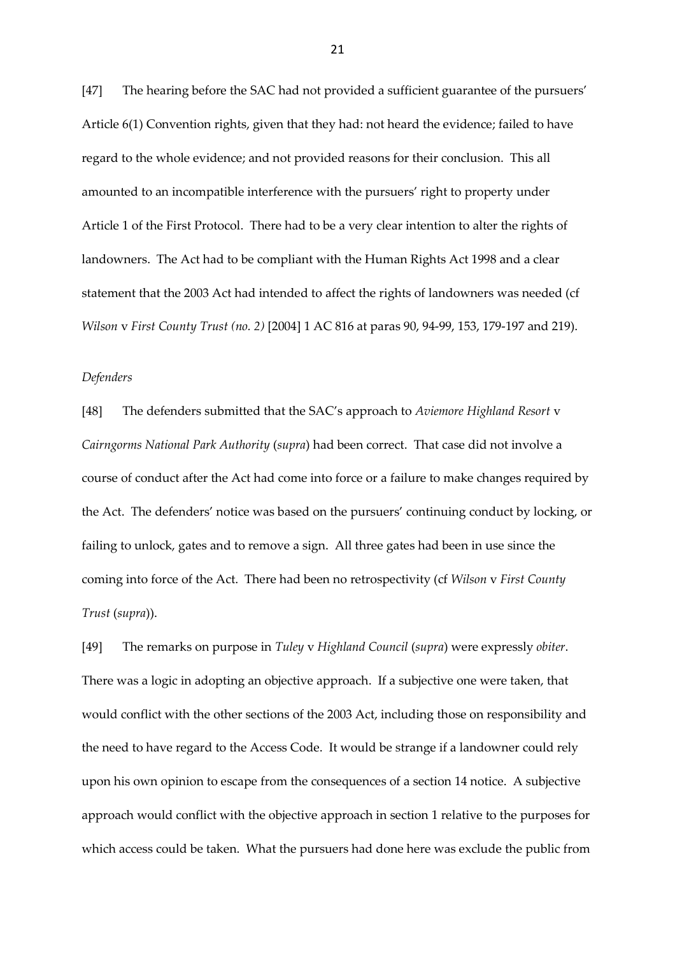[47] The hearing before the SAC had not provided a sufficient guarantee of the pursuers' Article 6(1) Convention rights, given that they had: not heard the evidence; failed to have regard to the whole evidence; and not provided reasons for their conclusion. This all amounted to an incompatible interference with the pursuers' right to property under Article 1 of the First Protocol. There had to be a very clear intention to alter the rights of landowners. The Act had to be compliant with the Human Rights Act 1998 and a clear statement that the 2003 Act had intended to affect the rights of landowners was needed (cf *Wilson* v *First County Trust (no. 2)* [2004] 1 AC 816 at paras 90, 94-99, 153, 179-197 and 219).

#### *Defenders*

[48] The defenders submitted that the SAC's approach to *Aviemore Highland Resort* v *Cairngorms National Park Authority* (*supra*) had been correct. That case did not involve a course of conduct after the Act had come into force or a failure to make changes required by the Act. The defenders' notice was based on the pursuers' continuing conduct by locking, or failing to unlock, gates and to remove a sign. All three gates had been in use since the coming into force of the Act. There had been no retrospectivity (cf *Wilson* v *First County Trust* (*supra*)).

[49] The remarks on purpose in *Tuley* v *Highland Council* (*supra*) were expressly *obiter*. There was a logic in adopting an objective approach. If a subjective one were taken, that would conflict with the other sections of the 2003 Act, including those on responsibility and the need to have regard to the Access Code. It would be strange if a landowner could rely upon his own opinion to escape from the consequences of a section 14 notice. A subjective approach would conflict with the objective approach in section 1 relative to the purposes for which access could be taken. What the pursuers had done here was exclude the public from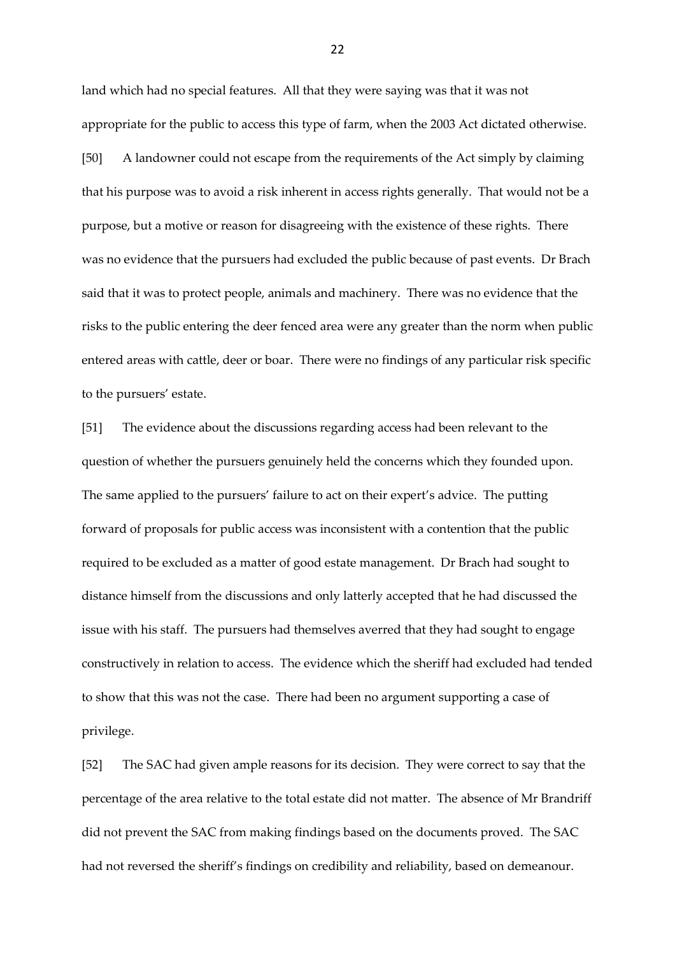land which had no special features. All that they were saying was that it was not appropriate for the public to access this type of farm, when the 2003 Act dictated otherwise. [50] A landowner could not escape from the requirements of the Act simply by claiming that his purpose was to avoid a risk inherent in access rights generally. That would not be a purpose, but a motive or reason for disagreeing with the existence of these rights. There was no evidence that the pursuers had excluded the public because of past events. Dr Brach said that it was to protect people, animals and machinery. There was no evidence that the risks to the public entering the deer fenced area were any greater than the norm when public entered areas with cattle, deer or boar. There were no findings of any particular risk specific to the pursuers' estate.

[51] The evidence about the discussions regarding access had been relevant to the question of whether the pursuers genuinely held the concerns which they founded upon. The same applied to the pursuers' failure to act on their expert's advice. The putting forward of proposals for public access was inconsistent with a contention that the public required to be excluded as a matter of good estate management. Dr Brach had sought to distance himself from the discussions and only latterly accepted that he had discussed the issue with his staff. The pursuers had themselves averred that they had sought to engage constructively in relation to access. The evidence which the sheriff had excluded had tended to show that this was not the case. There had been no argument supporting a case of privilege.

[52] The SAC had given ample reasons for its decision. They were correct to say that the percentage of the area relative to the total estate did not matter. The absence of Mr Brandriff did not prevent the SAC from making findings based on the documents proved. The SAC had not reversed the sheriff's findings on credibility and reliability, based on demeanour.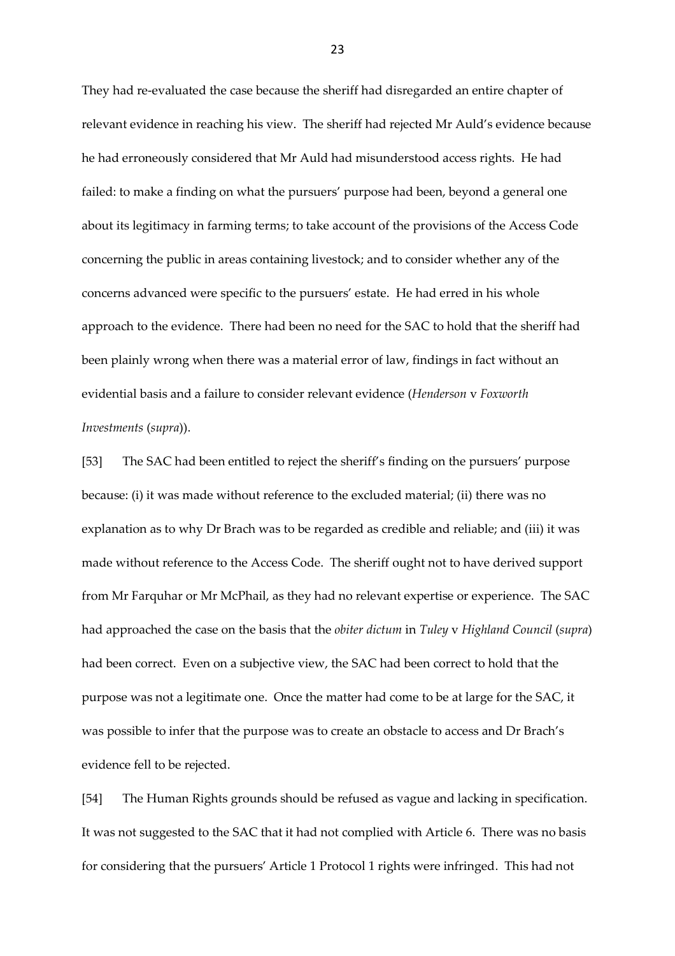They had re-evaluated the case because the sheriff had disregarded an entire chapter of relevant evidence in reaching his view. The sheriff had rejected Mr Auld's evidence because he had erroneously considered that Mr Auld had misunderstood access rights. He had failed: to make a finding on what the pursuers' purpose had been, beyond a general one about its legitimacy in farming terms; to take account of the provisions of the Access Code concerning the public in areas containing livestock; and to consider whether any of the concerns advanced were specific to the pursuers' estate. He had erred in his whole approach to the evidence. There had been no need for the SAC to hold that the sheriff had been plainly wrong when there was a material error of law, findings in fact without an evidential basis and a failure to consider relevant evidence (*Henderson* v *Foxworth Investments* (*supra*)).

[53] The SAC had been entitled to reject the sheriff's finding on the pursuers' purpose because: (i) it was made without reference to the excluded material; (ii) there was no explanation as to why Dr Brach was to be regarded as credible and reliable; and (iii) it was made without reference to the Access Code. The sheriff ought not to have derived support from Mr Farquhar or Mr McPhail, as they had no relevant expertise or experience. The SAC had approached the case on the basis that the *obiter dictum* in *Tuley* v *Highland Council* (*supra*) had been correct. Even on a subjective view, the SAC had been correct to hold that the purpose was not a legitimate one. Once the matter had come to be at large for the SAC, it was possible to infer that the purpose was to create an obstacle to access and Dr Brach's evidence fell to be rejected.

[54] The Human Rights grounds should be refused as vague and lacking in specification. It was not suggested to the SAC that it had not complied with Article 6. There was no basis for considering that the pursuers' Article 1 Protocol 1 rights were infringed. This had not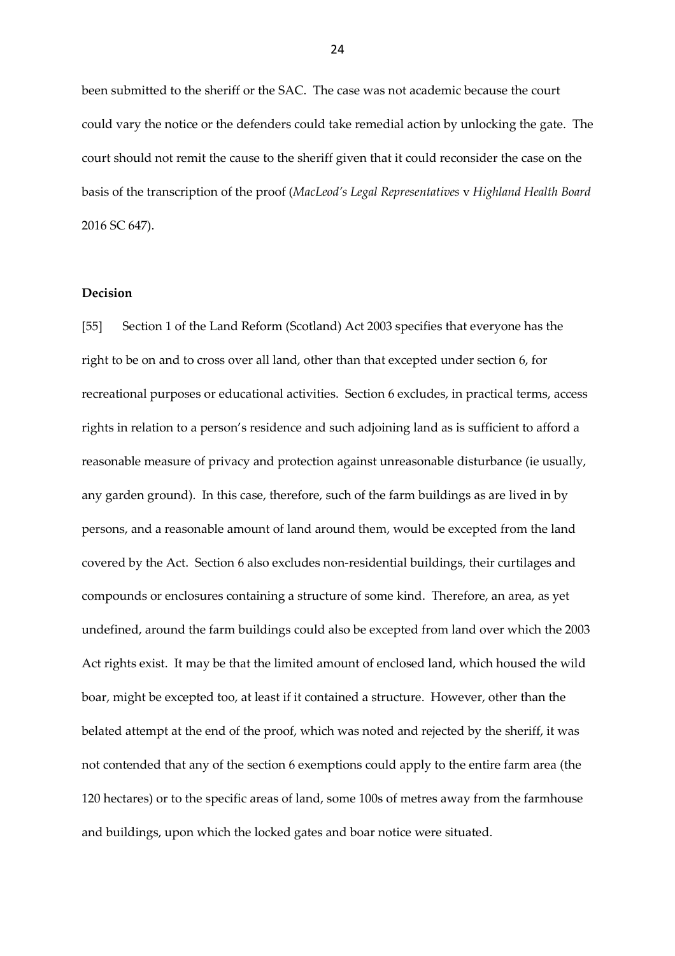been submitted to the sheriff or the SAC. The case was not academic because the court could vary the notice or the defenders could take remedial action by unlocking the gate. The court should not remit the cause to the sheriff given that it could reconsider the case on the basis of the transcription of the proof (*MacLeod's Legal Representatives* v *Highland Health Board* 2016 SC 647).

## **Decision**

[55] Section 1 of the Land Reform (Scotland) Act 2003 specifies that everyone has the right to be on and to cross over all land, other than that excepted under section 6, for recreational purposes or educational activities. Section 6 excludes, in practical terms, access rights in relation to a person's residence and such adjoining land as is sufficient to afford a reasonable measure of privacy and protection against unreasonable disturbance (ie usually, any garden ground). In this case, therefore, such of the farm buildings as are lived in by persons, and a reasonable amount of land around them, would be excepted from the land covered by the Act. Section 6 also excludes non-residential buildings, their curtilages and compounds or enclosures containing a structure of some kind. Therefore, an area, as yet undefined, around the farm buildings could also be excepted from land over which the 2003 Act rights exist. It may be that the limited amount of enclosed land, which housed the wild boar, might be excepted too, at least if it contained a structure. However, other than the belated attempt at the end of the proof, which was noted and rejected by the sheriff, it was not contended that any of the section 6 exemptions could apply to the entire farm area (the 120 hectares) or to the specific areas of land, some 100s of metres away from the farmhouse and buildings, upon which the locked gates and boar notice were situated.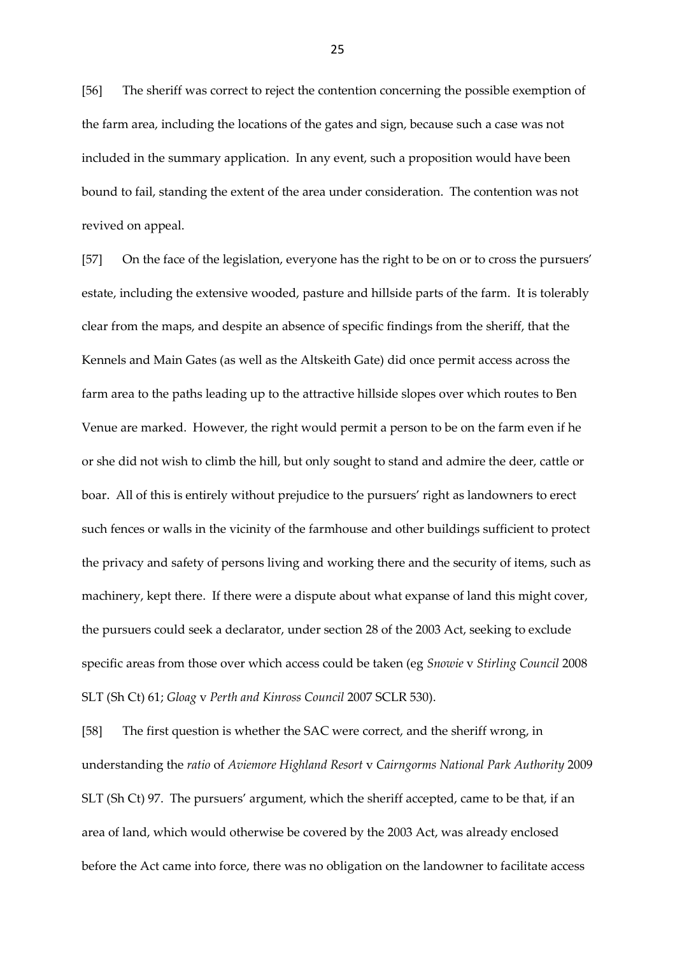[56] The sheriff was correct to reject the contention concerning the possible exemption of the farm area, including the locations of the gates and sign, because such a case was not included in the summary application. In any event, such a proposition would have been bound to fail, standing the extent of the area under consideration. The contention was not revived on appeal.

[57] On the face of the legislation, everyone has the right to be on or to cross the pursuers' estate, including the extensive wooded, pasture and hillside parts of the farm. It is tolerably clear from the maps, and despite an absence of specific findings from the sheriff, that the Kennels and Main Gates (as well as the Altskeith Gate) did once permit access across the farm area to the paths leading up to the attractive hillside slopes over which routes to Ben Venue are marked. However, the right would permit a person to be on the farm even if he or she did not wish to climb the hill, but only sought to stand and admire the deer, cattle or boar. All of this is entirely without prejudice to the pursuers' right as landowners to erect such fences or walls in the vicinity of the farmhouse and other buildings sufficient to protect the privacy and safety of persons living and working there and the security of items, such as machinery, kept there. If there were a dispute about what expanse of land this might cover, the pursuers could seek a declarator, under section 28 of the 2003 Act, seeking to exclude specific areas from those over which access could be taken (eg *Snowie* v *Stirling Council* 2008 SLT (Sh Ct) 61; *Gloag* v *Perth and Kinross Council* 2007 SCLR 530).

[58] The first question is whether the SAC were correct, and the sheriff wrong, in understanding the *ratio* of *Aviemore Highland Resort* v *Cairngorms National Park Authority* 2009 SLT (Sh Ct) 97. The pursuers' argument, which the sheriff accepted, came to be that, if an area of land, which would otherwise be covered by the 2003 Act, was already enclosed before the Act came into force, there was no obligation on the landowner to facilitate access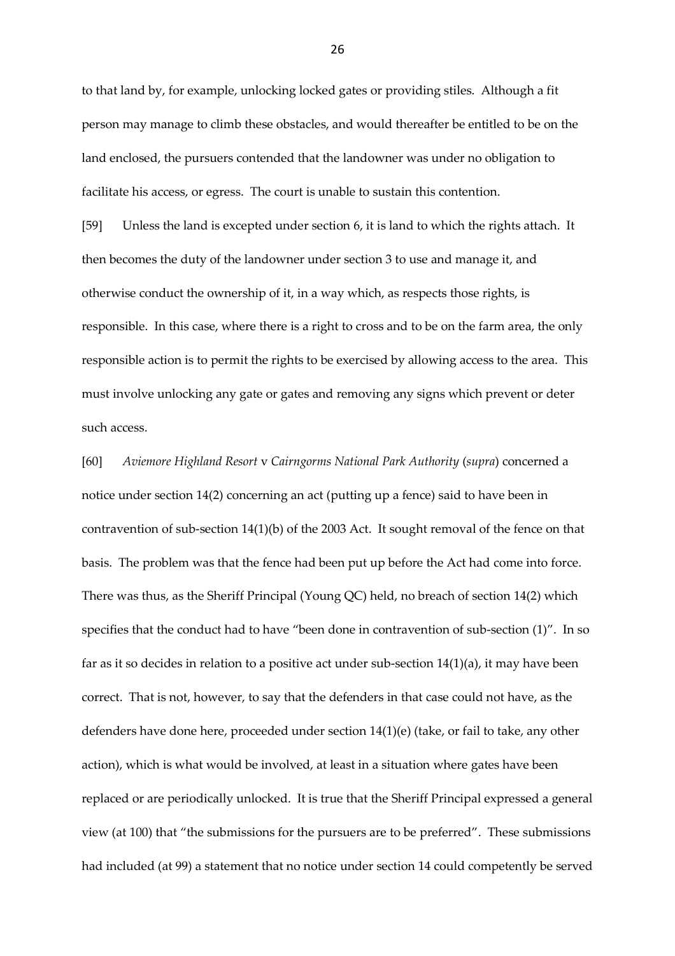to that land by, for example, unlocking locked gates or providing stiles. Although a fit person may manage to climb these obstacles, and would thereafter be entitled to be on the land enclosed, the pursuers contended that the landowner was under no obligation to facilitate his access, or egress. The court is unable to sustain this contention.

[59] Unless the land is excepted under section 6, it is land to which the rights attach. It then becomes the duty of the landowner under section 3 to use and manage it, and otherwise conduct the ownership of it, in a way which, as respects those rights, is responsible. In this case, where there is a right to cross and to be on the farm area, the only responsible action is to permit the rights to be exercised by allowing access to the area. This must involve unlocking any gate or gates and removing any signs which prevent or deter such access.

[60] *Aviemore Highland Resort* v *Cairngorms National Park Authority* (*supra*) concerned a notice under section 14(2) concerning an act (putting up a fence) said to have been in contravention of sub-section 14(1)(b) of the 2003 Act. It sought removal of the fence on that basis. The problem was that the fence had been put up before the Act had come into force. There was thus, as the Sheriff Principal (Young QC) held, no breach of section 14(2) which specifies that the conduct had to have "been done in contravention of sub-section (1)". In so far as it so decides in relation to a positive act under sub-section 14(1)(a), it may have been correct. That is not, however, to say that the defenders in that case could not have, as the defenders have done here, proceeded under section 14(1)(e) (take, or fail to take, any other action), which is what would be involved, at least in a situation where gates have been replaced or are periodically unlocked. It is true that the Sheriff Principal expressed a general view (at 100) that "the submissions for the pursuers are to be preferred". These submissions had included (at 99) a statement that no notice under section 14 could competently be served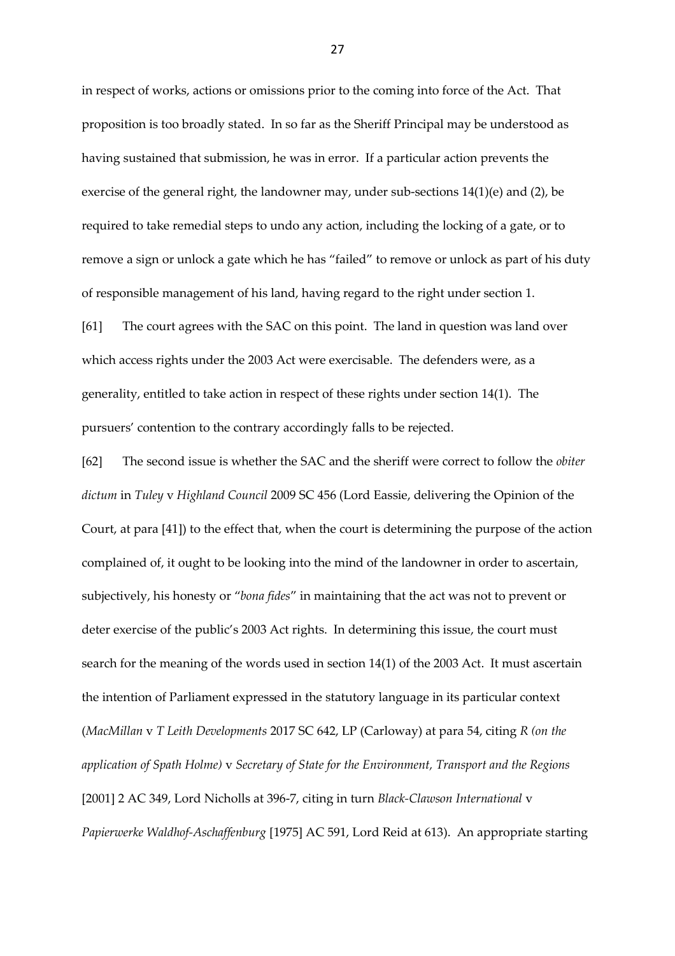in respect of works, actions or omissions prior to the coming into force of the Act. That proposition is too broadly stated. In so far as the Sheriff Principal may be understood as having sustained that submission, he was in error. If a particular action prevents the exercise of the general right, the landowner may, under sub-sections 14(1)(e) and (2), be required to take remedial steps to undo any action, including the locking of a gate, or to remove a sign or unlock a gate which he has "failed" to remove or unlock as part of his duty of responsible management of his land, having regard to the right under section 1.

[61] The court agrees with the SAC on this point. The land in question was land over which access rights under the 2003 Act were exercisable. The defenders were, as a generality, entitled to take action in respect of these rights under section 14(1). The pursuers' contention to the contrary accordingly falls to be rejected.

[62] The second issue is whether the SAC and the sheriff were correct to follow the *obiter dictum* in *Tuley* v *Highland Council* 2009 SC 456 (Lord Eassie, delivering the Opinion of the Court, at para [41]) to the effect that, when the court is determining the purpose of the action complained of, it ought to be looking into the mind of the landowner in order to ascertain, subjectively, his honesty or "*bona fides*" in maintaining that the act was not to prevent or deter exercise of the public's 2003 Act rights. In determining this issue, the court must search for the meaning of the words used in section 14(1) of the 2003 Act. It must ascertain the intention of Parliament expressed in the statutory language in its particular context (*MacMillan* v *T Leith Developments* 2017 SC 642, LP (Carloway) at para 54, citing *R (on the application of Spath Holme)* v *Secretary of State for the Environment, Transport and the Regions* [2001] 2 AC 349, Lord Nicholls at 396-7, citing in turn *Black-Clawson International* v *Papierwerke Waldhof-Aschaffenburg* [1975] AC 591, Lord Reid at 613). An appropriate starting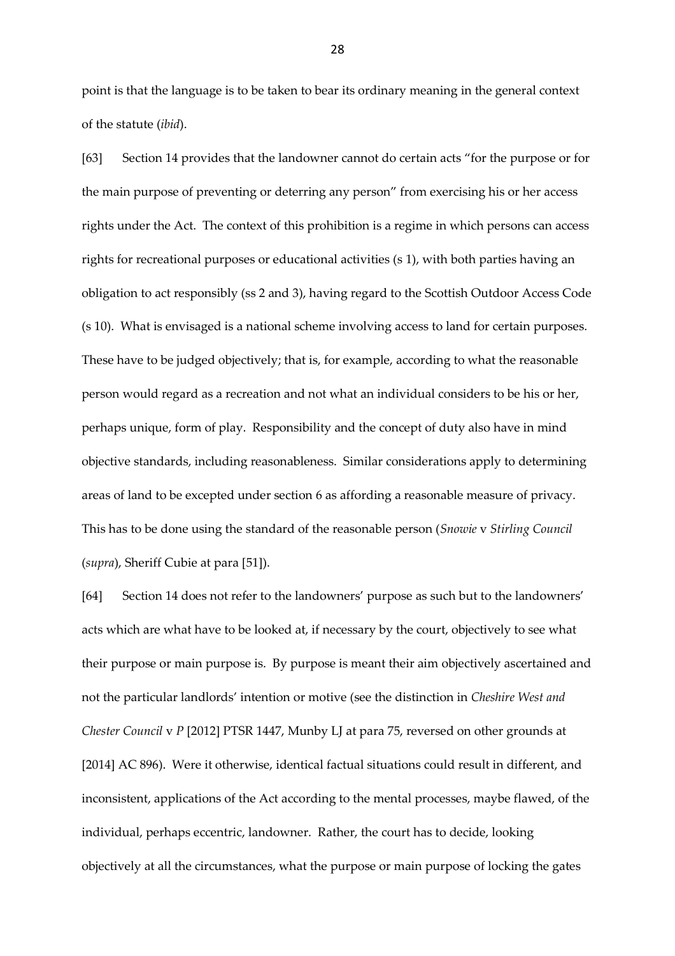point is that the language is to be taken to bear its ordinary meaning in the general context of the statute (*ibid*).

[63] Section 14 provides that the landowner cannot do certain acts "for the purpose or for the main purpose of preventing or deterring any person" from exercising his or her access rights under the Act. The context of this prohibition is a regime in which persons can access rights for recreational purposes or educational activities (s 1), with both parties having an obligation to act responsibly (ss 2 and 3), having regard to the Scottish Outdoor Access Code (s 10). What is envisaged is a national scheme involving access to land for certain purposes. These have to be judged objectively; that is, for example, according to what the reasonable person would regard as a recreation and not what an individual considers to be his or her, perhaps unique, form of play. Responsibility and the concept of duty also have in mind objective standards, including reasonableness. Similar considerations apply to determining areas of land to be excepted under section 6 as affording a reasonable measure of privacy. This has to be done using the standard of the reasonable person (*Snowie* v *Stirling Council* (*supra*), Sheriff Cubie at para [51]).

[64] Section 14 does not refer to the landowners' purpose as such but to the landowners' acts which are what have to be looked at, if necessary by the court, objectively to see what their purpose or main purpose is. By purpose is meant their aim objectively ascertained and not the particular landlords' intention or motive (see the distinction in *Cheshire West and Chester Council* v *P* [2012] PTSR 1447, Munby LJ at para 75, reversed on other grounds at [2014] AC 896). Were it otherwise, identical factual situations could result in different, and inconsistent, applications of the Act according to the mental processes, maybe flawed, of the individual, perhaps eccentric, landowner. Rather, the court has to decide, looking objectively at all the circumstances, what the purpose or main purpose of locking the gates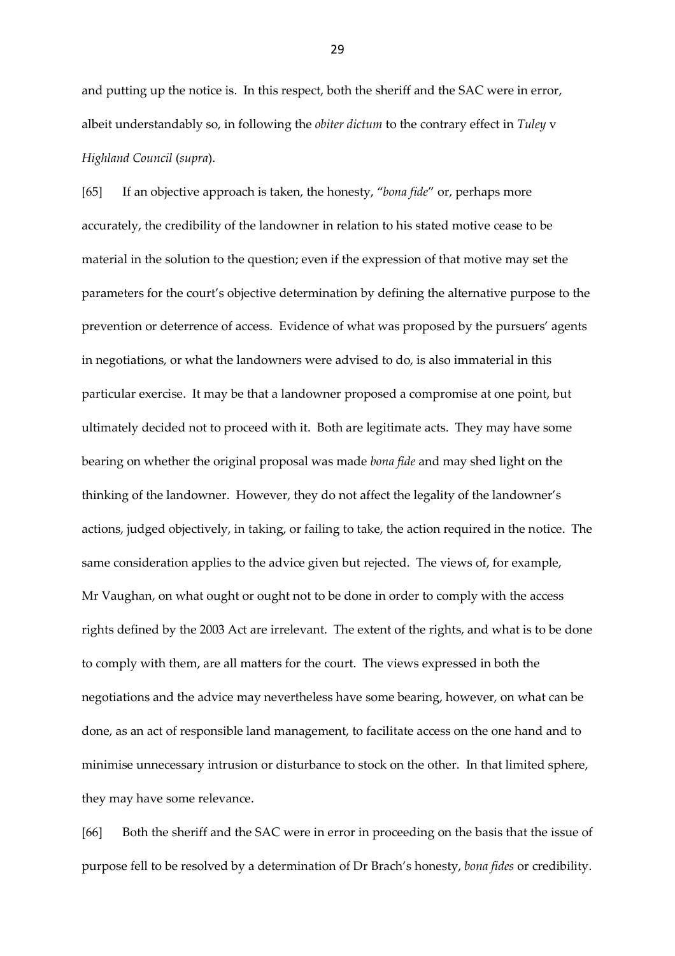and putting up the notice is. In this respect, both the sheriff and the SAC were in error, albeit understandably so, in following the *obiter dictum* to the contrary effect in *Tuley* v *Highland Council* (*supra*).

[65] If an objective approach is taken, the honesty, "*bona fide*" or, perhaps more accurately, the credibility of the landowner in relation to his stated motive cease to be material in the solution to the question; even if the expression of that motive may set the parameters for the court's objective determination by defining the alternative purpose to the prevention or deterrence of access. Evidence of what was proposed by the pursuers' agents in negotiations, or what the landowners were advised to do, is also immaterial in this particular exercise. It may be that a landowner proposed a compromise at one point, but ultimately decided not to proceed with it. Both are legitimate acts. They may have some bearing on whether the original proposal was made *bona fide* and may shed light on the thinking of the landowner. However, they do not affect the legality of the landowner's actions, judged objectively, in taking, or failing to take, the action required in the notice. The same consideration applies to the advice given but rejected. The views of, for example, Mr Vaughan, on what ought or ought not to be done in order to comply with the access rights defined by the 2003 Act are irrelevant. The extent of the rights, and what is to be done to comply with them, are all matters for the court. The views expressed in both the negotiations and the advice may nevertheless have some bearing, however, on what can be done, as an act of responsible land management, to facilitate access on the one hand and to minimise unnecessary intrusion or disturbance to stock on the other. In that limited sphere, they may have some relevance.

[66] Both the sheriff and the SAC were in error in proceeding on the basis that the issue of purpose fell to be resolved by a determination of Dr Brach's honesty, *bona fides* or credibility.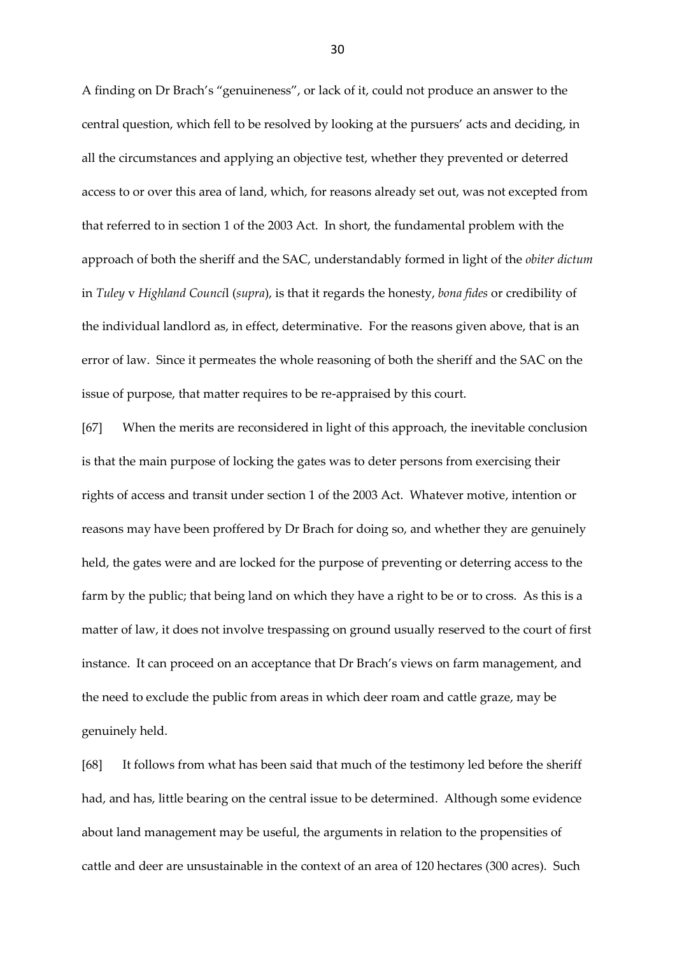A finding on Dr Brach's "genuineness", or lack of it, could not produce an answer to the central question, which fell to be resolved by looking at the pursuers' acts and deciding, in all the circumstances and applying an objective test, whether they prevented or deterred access to or over this area of land, which, for reasons already set out, was not excepted from that referred to in section 1 of the 2003 Act. In short, the fundamental problem with the approach of both the sheriff and the SAC, understandably formed in light of the *obiter dictum* in *Tuley* v *Highland Counci*l (*supra*), is that it regards the honesty, *bona fides* or credibility of the individual landlord as, in effect, determinative. For the reasons given above, that is an error of law. Since it permeates the whole reasoning of both the sheriff and the SAC on the issue of purpose, that matter requires to be re-appraised by this court.

[67] When the merits are reconsidered in light of this approach, the inevitable conclusion is that the main purpose of locking the gates was to deter persons from exercising their rights of access and transit under section 1 of the 2003 Act. Whatever motive, intention or reasons may have been proffered by Dr Brach for doing so, and whether they are genuinely held, the gates were and are locked for the purpose of preventing or deterring access to the farm by the public; that being land on which they have a right to be or to cross. As this is a matter of law, it does not involve trespassing on ground usually reserved to the court of first instance. It can proceed on an acceptance that Dr Brach's views on farm management, and the need to exclude the public from areas in which deer roam and cattle graze, may be genuinely held.

[68] It follows from what has been said that much of the testimony led before the sheriff had, and has, little bearing on the central issue to be determined. Although some evidence about land management may be useful, the arguments in relation to the propensities of cattle and deer are unsustainable in the context of an area of 120 hectares (300 acres). Such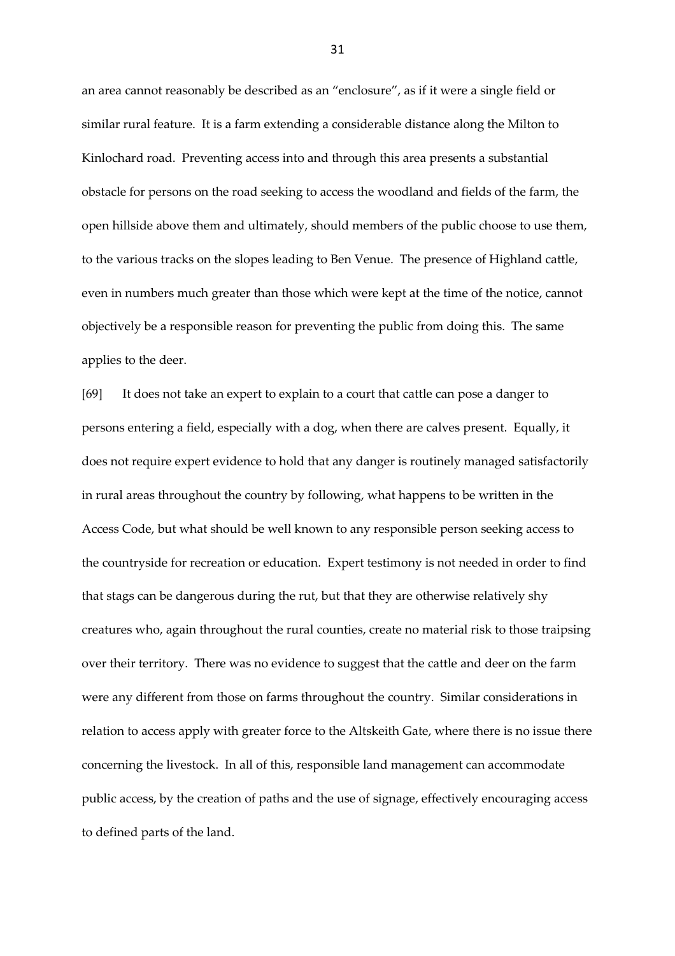an area cannot reasonably be described as an "enclosure", as if it were a single field or similar rural feature. It is a farm extending a considerable distance along the Milton to Kinlochard road. Preventing access into and through this area presents a substantial obstacle for persons on the road seeking to access the woodland and fields of the farm, the open hillside above them and ultimately, should members of the public choose to use them, to the various tracks on the slopes leading to Ben Venue. The presence of Highland cattle, even in numbers much greater than those which were kept at the time of the notice, cannot objectively be a responsible reason for preventing the public from doing this. The same applies to the deer.

[69] It does not take an expert to explain to a court that cattle can pose a danger to persons entering a field, especially with a dog, when there are calves present. Equally, it does not require expert evidence to hold that any danger is routinely managed satisfactorily in rural areas throughout the country by following, what happens to be written in the Access Code, but what should be well known to any responsible person seeking access to the countryside for recreation or education. Expert testimony is not needed in order to find that stags can be dangerous during the rut, but that they are otherwise relatively shy creatures who, again throughout the rural counties, create no material risk to those traipsing over their territory. There was no evidence to suggest that the cattle and deer on the farm were any different from those on farms throughout the country. Similar considerations in relation to access apply with greater force to the Altskeith Gate, where there is no issue there concerning the livestock. In all of this, responsible land management can accommodate public access, by the creation of paths and the use of signage, effectively encouraging access to defined parts of the land.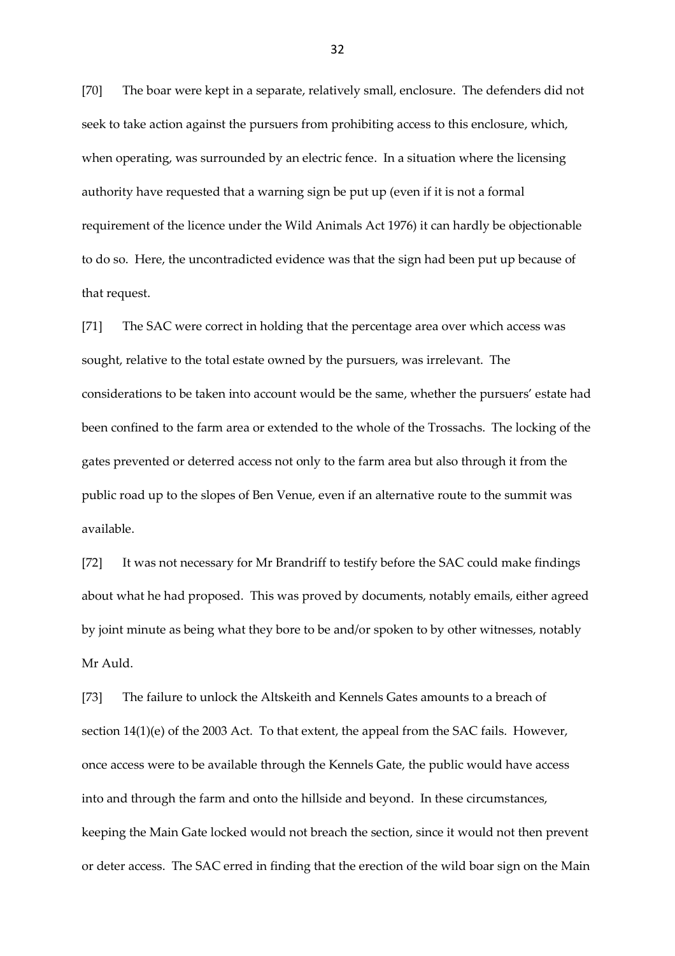[70] The boar were kept in a separate, relatively small, enclosure. The defenders did not seek to take action against the pursuers from prohibiting access to this enclosure, which, when operating, was surrounded by an electric fence. In a situation where the licensing authority have requested that a warning sign be put up (even if it is not a formal requirement of the licence under the Wild Animals Act 1976) it can hardly be objectionable to do so. Here, the uncontradicted evidence was that the sign had been put up because of that request.

[71] The SAC were correct in holding that the percentage area over which access was sought, relative to the total estate owned by the pursuers, was irrelevant. The considerations to be taken into account would be the same, whether the pursuers' estate had been confined to the farm area or extended to the whole of the Trossachs. The locking of the gates prevented or deterred access not only to the farm area but also through it from the public road up to the slopes of Ben Venue, even if an alternative route to the summit was available.

[72] It was not necessary for Mr Brandriff to testify before the SAC could make findings about what he had proposed. This was proved by documents, notably emails, either agreed by joint minute as being what they bore to be and/or spoken to by other witnesses, notably Mr Auld.

[73] The failure to unlock the Altskeith and Kennels Gates amounts to a breach of section  $14(1)(e)$  of the 2003 Act. To that extent, the appeal from the SAC fails. However, once access were to be available through the Kennels Gate, the public would have access into and through the farm and onto the hillside and beyond. In these circumstances, keeping the Main Gate locked would not breach the section, since it would not then prevent or deter access. The SAC erred in finding that the erection of the wild boar sign on the Main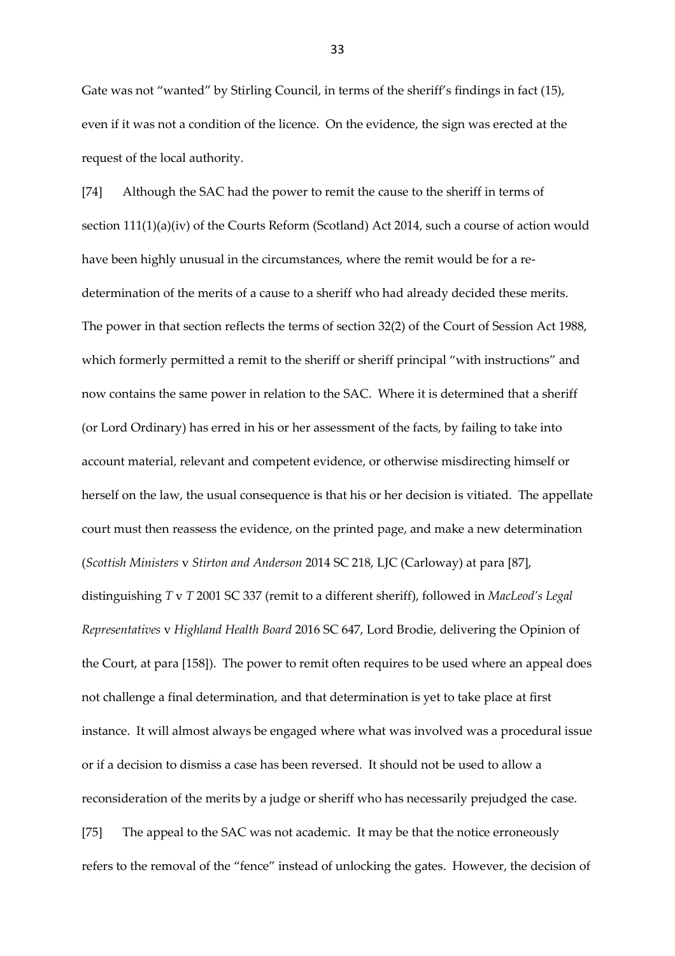Gate was not "wanted" by Stirling Council, in terms of the sheriff's findings in fact (15), even if it was not a condition of the licence. On the evidence, the sign was erected at the request of the local authority.

[74] Although the SAC had the power to remit the cause to the sheriff in terms of section 111(1)(a)(iv) of the Courts Reform (Scotland) Act 2014, such a course of action would have been highly unusual in the circumstances, where the remit would be for a redetermination of the merits of a cause to a sheriff who had already decided these merits. The power in that section reflects the terms of section 32(2) of the Court of Session Act 1988, which formerly permitted a remit to the sheriff or sheriff principal "with instructions" and now contains the same power in relation to the SAC. Where it is determined that a sheriff (or Lord Ordinary) has erred in his or her assessment of the facts, by failing to take into account material, relevant and competent evidence, or otherwise misdirecting himself or herself on the law, the usual consequence is that his or her decision is vitiated. The appellate court must then reassess the evidence, on the printed page, and make a new determination (*Scottish Ministers* v *Stirton and Anderson* 2014 SC 218, LJC (Carloway) at para [87], distinguishing *T* v *T* 2001 SC 337 (remit to a different sheriff), followed in *MacLeod's Legal Representatives* v *Highland Health Board* 2016 SC 647, Lord Brodie, delivering the Opinion of the Court, at para [158]). The power to remit often requires to be used where an appeal does not challenge a final determination, and that determination is yet to take place at first instance. It will almost always be engaged where what was involved was a procedural issue or if a decision to dismiss a case has been reversed. It should not be used to allow a reconsideration of the merits by a judge or sheriff who has necessarily prejudged the case. [75] The appeal to the SAC was not academic. It may be that the notice erroneously refers to the removal of the "fence" instead of unlocking the gates. However, the decision of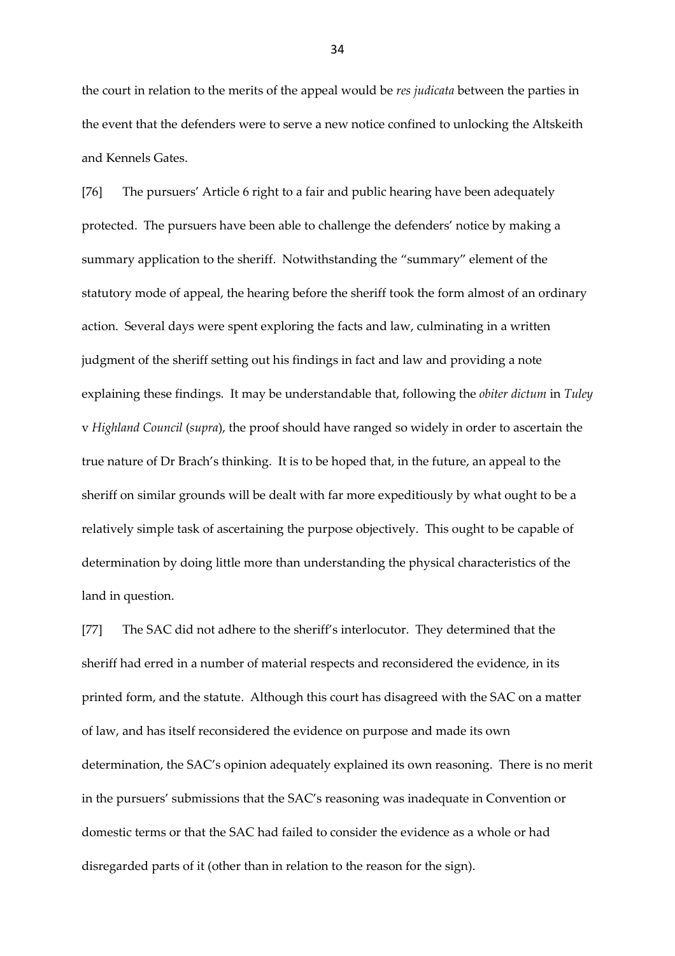the court in relation to the merits of the appeal would be *res judicata* between the parties in the event that the defenders were to serve a new notice confined to unlocking the Altskeith and Kennels Gates.

[76] The pursuers' Article 6 right to a fair and public hearing have been adequately protected. The pursuers have been able to challenge the defenders' notice by making a summary application to the sheriff. Notwithstanding the "summary" element of the statutory mode of appeal, the hearing before the sheriff took the form almost of an ordinary action. Several days were spent exploring the facts and law, culminating in a written judgment of the sheriff setting out his findings in fact and law and providing a note explaining these findings. It may be understandable that, following the *obiter dictum* in *Tuley*  v *Highland Council* (*supra*), the proof should have ranged so widely in order to ascertain the true nature of Dr Brach's thinking. It is to be hoped that, in the future, an appeal to the sheriff on similar grounds will be dealt with far more expeditiously by what ought to be a relatively simple task of ascertaining the purpose objectively. This ought to be capable of determination by doing little more than understanding the physical characteristics of the land in question.

[77] The SAC did not adhere to the sheriff's interlocutor. They determined that the sheriff had erred in a number of material respects and reconsidered the evidence, in its printed form, and the statute. Although this court has disagreed with the SAC on a matter of law, and has itself reconsidered the evidence on purpose and made its own determination, the SAC's opinion adequately explained its own reasoning. There is no merit in the pursuers' submissions that the SAC's reasoning was inadequate in Convention or domestic terms or that the SAC had failed to consider the evidence as a whole or had disregarded parts of it (other than in relation to the reason for the sign).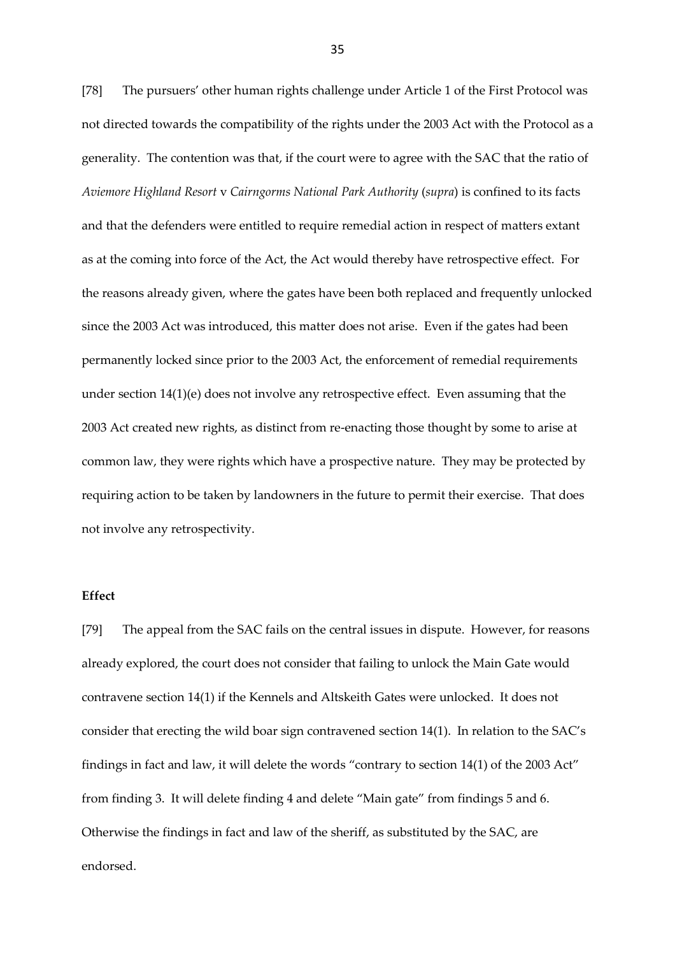[78] The pursuers' other human rights challenge under Article 1 of the First Protocol was not directed towards the compatibility of the rights under the 2003 Act with the Protocol as a generality. The contention was that, if the court were to agree with the SAC that the ratio of *Aviemore Highland Resort* v *Cairngorms National Park Authority* (*supra*) is confined to its facts and that the defenders were entitled to require remedial action in respect of matters extant as at the coming into force of the Act, the Act would thereby have retrospective effect. For the reasons already given, where the gates have been both replaced and frequently unlocked since the 2003 Act was introduced, this matter does not arise. Even if the gates had been permanently locked since prior to the 2003 Act, the enforcement of remedial requirements under section 14(1)(e) does not involve any retrospective effect. Even assuming that the 2003 Act created new rights, as distinct from re-enacting those thought by some to arise at common law, they were rights which have a prospective nature. They may be protected by requiring action to be taken by landowners in the future to permit their exercise. That does not involve any retrospectivity.

#### **Effect**

[79] The appeal from the SAC fails on the central issues in dispute. However, for reasons already explored, the court does not consider that failing to unlock the Main Gate would contravene section 14(1) if the Kennels and Altskeith Gates were unlocked. It does not consider that erecting the wild boar sign contravened section 14(1). In relation to the SAC's findings in fact and law, it will delete the words "contrary to section 14(1) of the 2003 Act" from finding 3. It will delete finding 4 and delete "Main gate" from findings 5 and 6. Otherwise the findings in fact and law of the sheriff, as substituted by the SAC, are endorsed.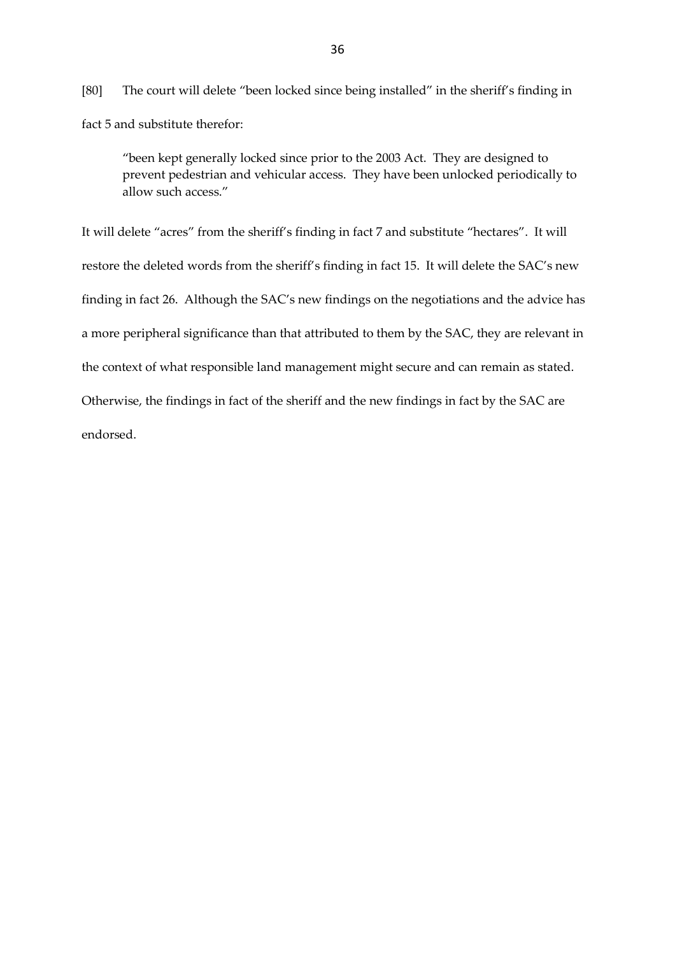[80] The court will delete "been locked since being installed" in the sheriff's finding in fact 5 and substitute therefor:

"been kept generally locked since prior to the 2003 Act. They are designed to prevent pedestrian and vehicular access. They have been unlocked periodically to allow such access."

It will delete "acres" from the sheriff's finding in fact 7 and substitute "hectares". It will restore the deleted words from the sheriff's finding in fact 15. It will delete the SAC's new finding in fact 26. Although the SAC's new findings on the negotiations and the advice has a more peripheral significance than that attributed to them by the SAC, they are relevant in the context of what responsible land management might secure and can remain as stated. Otherwise, the findings in fact of the sheriff and the new findings in fact by the SAC are endorsed.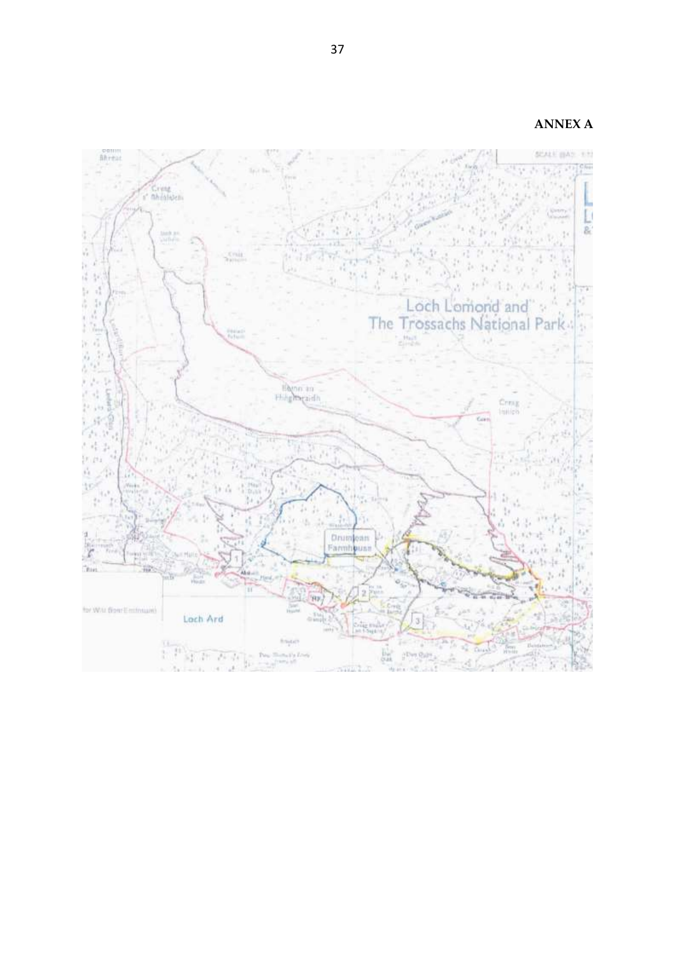**ANNEX A**